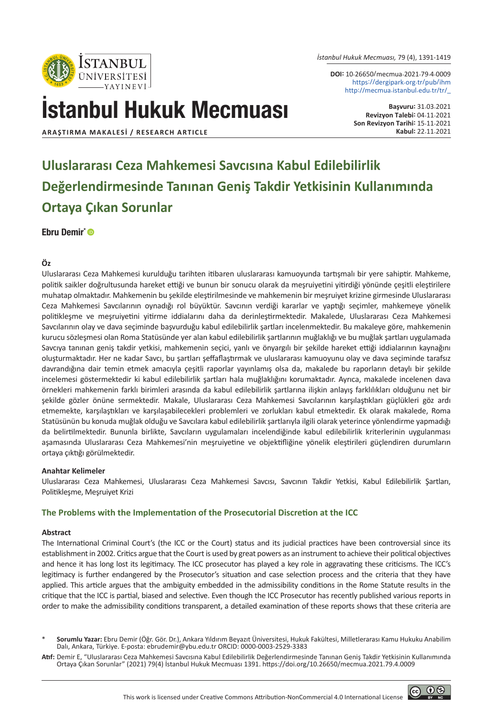

*İstanbul Hukuk Mecmuası,* 79 (4), 1391-1419

**DOI:** 10.26650/mecmua.2021.79.4.0009 https://dergipark.org.tr/pub/ihm http://mecmua.istanbul.edu.tr/tr/\_

# İstanbul Hukuk Mecmuası

**Başvuru:** 31.03.2021 **Revizyon Talebi:** 04.11.2021 **Son Revizyon Tarihi:** 15.11.2021

 $@$   $@$ 

**ARAŞTIRMA MAKALESI / RESEARCH ARTICLE Kabul:** 22.11.2021

# **Uluslararası Ceza Mahkemesi Savcısına Kabul Edilebilirlik Değerlendirmesinde Tanınan Geniş Takdir Yetkisinin Kullanımında Ortaya Çıkan Sorunlar**

Ebru Demir<sup>\*</sup>

#### **Öz**

Uluslararası Ceza Mahkemesi kurulduğu tarihten itibaren uluslararası kamuoyunda tartışmalı bir yere sahiptir. Mahkeme, politik saikler doğrultusunda hareket ettiği ve bunun bir sonucu olarak da meşruiyetini yitirdiği yönünde çeşitli eleştirilere muhatap olmaktadır. Mahkemenin bu şekilde eleştirilmesinde ve mahkemenin bir meşruiyet krizine girmesinde Uluslararası Ceza Mahkemesi Savcılarının oynadığı rol büyüktür. Savcının verdiği kararlar ve yaptığı seçimler, mahkemeye yönelik politikleşme ve meşruiyetini yitirme iddialarını daha da derinleştirmektedir. Makalede, Uluslararası Ceza Mahkemesi Savcılarının olay ve dava seçiminde başvurduğu kabul edilebilirlik şartları incelenmektedir. Bu makaleye göre, mahkemenin kurucu sözleşmesi olan Roma Statüsünde yer alan kabul edilebilirlik şartlarının muğlaklığı ve bu muğlak şartları uygulamada Savcıya tanınan geniş takdir yetkisi, mahkemenin seçici, yanlı ve önyargılı bir şekilde hareket ettiği iddialarının kaynağını oluşturmaktadır. Her ne kadar Savcı, bu şartları şeffaflaştırmak ve uluslararası kamuoyunu olay ve dava seçiminde tarafsız davrandığına dair temin etmek amacıyla çeşitli raporlar yayınlamış olsa da, makalede bu raporların detaylı bir şekilde incelemesi göstermektedir ki kabul edilebilirlik şartları hala muğlaklığını korumaktadır. Ayrıca, makalede incelenen dava örnekleri mahkemenin farklı birimleri arasında da kabul edilebilirlik şartlarına ilişkin anlayış farklılıkları olduğunu net bir şekilde gözler önüne sermektedir. Makale, Uluslararası Ceza Mahkemesi Savcılarının karşılaştıkları güçlükleri göz ardı etmemekte, karşılaştıkları ve karşılaşabilecekleri problemleri ve zorlukları kabul etmektedir. Ek olarak makalede, Roma Statüsünün bu konuda muğlak olduğu ve Savcılara kabul edilebilirlik şartlarıyla ilgili olarak yeterince yönlendirme yapmadığı da belirtilmektedir. Bununla birlikte, Savcıların uygulamaları incelendiğinde kabul edilebilirlik kriterlerinin uygulanması aşamasında Uluslararası Ceza Mahkemesi'nin meşruiyetine ve objektifliğine yönelik eleştirileri güçlendiren durumların ortaya çıktığı görülmektedir.

#### **Anahtar Kelimeler**

Uluslararası Ceza Mahkemesi, Uluslararası Ceza Mahkemesi Savcısı, Savcının Takdir Yetkisi, Kabul Edilebilirlik Şartları, Politikleşme, Meşruiyet Krizi

#### **The Problems with the Implementation of the Prosecutorial Discretion at the ICC**

#### **Abstract**

The International Criminal Court's (the ICC or the Court) status and its judicial practices have been controversial since its establishment in 2002. Critics argue that the Court is used by great powers as an instrument to achieve their political objectives and hence it has long lost its legitimacy. The ICC prosecutor has played a key role in aggravating these criticisms. The ICC's legitimacy is further endangered by the Prosecutor's situation and case selection process and the criteria that they have applied. This article argues that the ambiguity embedded in the admissibility conditions in the Rome Statute results in the critique that the ICC is partial, biased and selective. Even though the ICC Prosecutor has recently published various reports in order to make the admissibility conditions transparent, a detailed examination of these reports shows that these criteria are

<sup>\*</sup> **Sorumlu Yazar:** Ebru Demir (Öğr. Gör. Dr.), Ankara Yıldırım Beyazıt Üniversitesi, Hukuk Fakültesi, Milletlerarası Kamu Hukuku Anabilim Dalı, Ankara, Türkiye. E-posta: ebrudemir@ybu.edu.tr ORCID: 0000-0003-2529-3383

**Atıf:** Demir E, "Uluslararası Ceza Mahkemesi Savcısına Kabul Edilebilirlik Değerlendirmesinde Tanınan Geniş Takdir Yetkisinin Kullanımında Ortaya Çıkan Sorunlar" (2021) 79(4) İstanbul Hukuk Mecmuası 1391. https://doi.org/10.26650/mecmua.2021.79.4.0009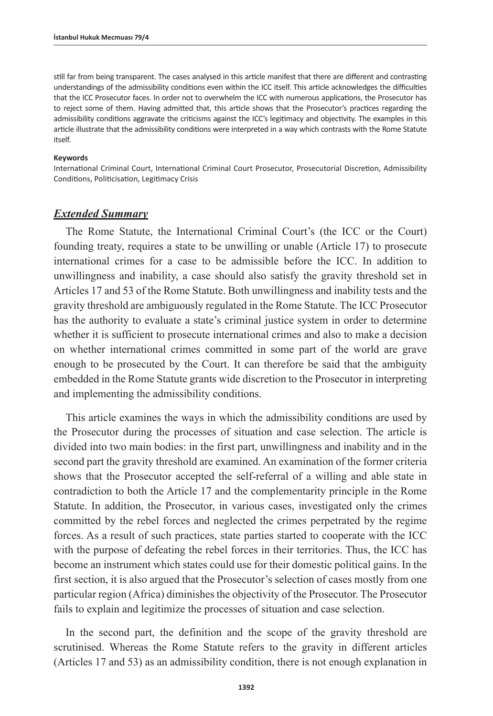still far from being transparent. The cases analysed in this article manifest that there are different and contrasting understandings of the admissibility conditions even within the ICC itself. This article acknowledges the difficulties that the ICC Prosecutor faces. In order not to overwhelm the ICC with numerous applications, the Prosecutor has to reject some of them. Having admitted that, this article shows that the Prosecutor's practices regarding the admissibility conditions aggravate the criticisms against the ICC's legitimacy and objectivity. The examples in this article illustrate that the admissibility conditions were interpreted in a way which contrasts with the Rome Statute itself.

#### **Keywords**

International Criminal Court, International Criminal Court Prosecutor, Prosecutorial Discretion, Admissibility Conditions, Politicisation, Legitimacy Crisis

#### *Extended Summary*

The Rome Statute, the International Criminal Court's (the ICC or the Court) founding treaty, requires a state to be unwilling or unable (Article 17) to prosecute international crimes for a case to be admissible before the ICC. In addition to unwillingness and inability, a case should also satisfy the gravity threshold set in Articles 17 and 53 of the Rome Statute. Both unwillingness and inability tests and the gravity threshold are ambiguously regulated in the Rome Statute. The ICC Prosecutor has the authority to evaluate a state's criminal justice system in order to determine whether it is sufficient to prosecute international crimes and also to make a decision on whether international crimes committed in some part of the world are grave enough to be prosecuted by the Court. It can therefore be said that the ambiguity embedded in the Rome Statute grants wide discretion to the Prosecutor in interpreting and implementing the admissibility conditions.

This article examines the ways in which the admissibility conditions are used by the Prosecutor during the processes of situation and case selection. The article is divided into two main bodies: in the first part, unwillingness and inability and in the second part the gravity threshold are examined. An examination of the former criteria shows that the Prosecutor accepted the self-referral of a willing and able state in contradiction to both the Article 17 and the complementarity principle in the Rome Statute. In addition, the Prosecutor, in various cases, investigated only the crimes committed by the rebel forces and neglected the crimes perpetrated by the regime forces. As a result of such practices, state parties started to cooperate with the ICC with the purpose of defeating the rebel forces in their territories. Thus, the ICC has become an instrument which states could use for their domestic political gains. In the first section, it is also argued that the Prosecutor's selection of cases mostly from one particular region (Africa) diminishes the objectivity of the Prosecutor. The Prosecutor fails to explain and legitimize the processes of situation and case selection.

In the second part, the definition and the scope of the gravity threshold are scrutinised. Whereas the Rome Statute refers to the gravity in different articles (Articles 17 and 53) as an admissibility condition, there is not enough explanation in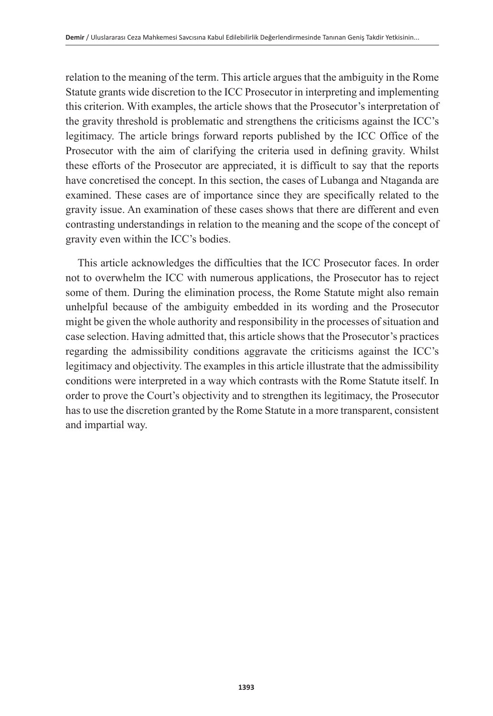relation to the meaning of the term. This article argues that the ambiguity in the Rome Statute grants wide discretion to the ICC Prosecutor in interpreting and implementing this criterion. With examples, the article shows that the Prosecutor's interpretation of the gravity threshold is problematic and strengthens the criticisms against the ICC's legitimacy. The article brings forward reports published by the ICC Office of the Prosecutor with the aim of clarifying the criteria used in defining gravity. Whilst these efforts of the Prosecutor are appreciated, it is difficult to say that the reports have concretised the concept. In this section, the cases of Lubanga and Ntaganda are examined. These cases are of importance since they are specifically related to the gravity issue. An examination of these cases shows that there are different and even contrasting understandings in relation to the meaning and the scope of the concept of gravity even within the ICC's bodies.

This article acknowledges the difficulties that the ICC Prosecutor faces. In order not to overwhelm the ICC with numerous applications, the Prosecutor has to reject some of them. During the elimination process, the Rome Statute might also remain unhelpful because of the ambiguity embedded in its wording and the Prosecutor might be given the whole authority and responsibility in the processes of situation and case selection. Having admitted that, this article shows that the Prosecutor's practices regarding the admissibility conditions aggravate the criticisms against the ICC's legitimacy and objectivity. The examples in this article illustrate that the admissibility conditions were interpreted in a way which contrasts with the Rome Statute itself. In order to prove the Court's objectivity and to strengthen its legitimacy, the Prosecutor has to use the discretion granted by the Rome Statute in a more transparent, consistent and impartial way.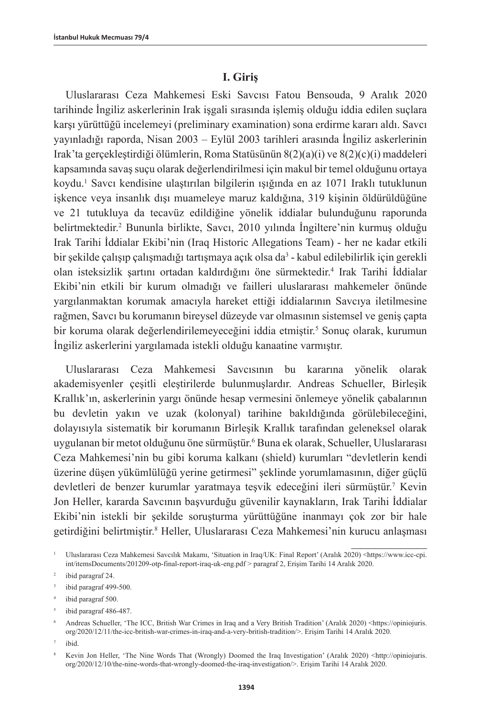#### **I. Giriş**

Uluslararası Ceza Mahkemesi Eski Savcısı Fatou Bensouda, 9 Aralık 2020 tarihinde İngiliz askerlerinin Irak işgali sırasında işlemiş olduğu iddia edilen suçlara karşı yürüttüğü incelemeyi (preliminary examination) sona erdirme kararı aldı. Savcı yayınladığı raporda, Nisan 2003 – Eylül 2003 tarihleri arasında İngiliz askerlerinin Irak'ta gerçekleştirdiği ölümlerin, Roma Statüsünün 8(2)(a)(i) ve 8(2)(c)(i) maddeleri kapsamında savaş suçu olarak değerlendirilmesi için makul bir temel olduğunu ortaya koydu.1 Savcı kendisine ulaştırılan bilgilerin ışığında en az 1071 Iraklı tutuklunun işkence veya insanlık dışı muameleye maruz kaldığına, 319 kişinin öldürüldüğüne ve 21 tutukluya da tecavüz edildiğine yönelik iddialar bulunduğunu raporunda belirtmektedir.2 Bununla birlikte, Savcı, 2010 yılında İngiltere'nin kurmuş olduğu Irak Tarihi İddialar Ekibi'nin (Iraq Historic Allegations Team) - her ne kadar etkili bir şekilde çalışıp çalışmadığı tartışmaya açık olsa da<sup>3</sup> - kabul edilebilirlik için gerekli olan isteksizlik şartını ortadan kaldırdığını öne sürmektedir.<sup>4</sup> Irak Tarihi İddialar Ekibi'nin etkili bir kurum olmadığı ve failleri uluslararası mahkemeler önünde yargılanmaktan korumak amacıyla hareket ettiği iddialarının Savcıya iletilmesine rağmen, Savcı bu korumanın bireysel düzeyde var olmasının sistemsel ve geniş çapta bir koruma olarak değerlendirilemeyeceğini iddia etmiştir.<sup>5</sup> Sonuç olarak, kurumun İngiliz askerlerini yargılamada istekli olduğu kanaatine varmıştır.

Uluslararası Ceza Mahkemesi Savcısının bu kararına yönelik olarak akademisyenler çeşitli eleştirilerde bulunmuşlardır. Andreas Schueller, Birleşik Krallık'ın, askerlerinin yargı önünde hesap vermesini önlemeye yönelik çabalarının bu devletin yakın ve uzak (kolonyal) tarihine bakıldığında görülebileceğini, dolayısıyla sistematik bir korumanın Birleşik Krallık tarafından geleneksel olarak uygulanan bir metot olduğunu öne sürmüştür.<sup>6</sup> Buna ek olarak, Schueller, Uluslararası Ceza Mahkemesi'nin bu gibi koruma kalkanı (shield) kurumları "devletlerin kendi üzerine düşen yükümlülüğü yerine getirmesi" şeklinde yorumlamasının, diğer güçlü devletleri de benzer kurumlar yaratmaya teşvik edeceğini ileri sürmüştür.7 Kevin Jon Heller, kararda Savcının başvurduğu güvenilir kaynakların, Irak Tarihi İddialar Ekibi'nin istekli bir şekilde soruşturma yürüttüğüne inanmayı çok zor bir hale getirdiğini belirtmiştir.<sup>8</sup> Heller, Uluslararası Ceza Mahkemesi'nin kurucu anlaşması

- <sup>3</sup> ibid paragraf 499-500.
- <sup>4</sup> ibid paragraf 500.
- <sup>5</sup> ibid paragraf 486-487.

<sup>6</sup> Andreas Schueller, 'The ICC, British War Crimes in Iraq and a Very British Tradition' (Aralık 2020) <https://opiniojuris. org/2020/12/11/the-icc-british-war-crimes-in-iraq-and-a-very-british-tradition/>. Erişim Tarihi 14 Aralık 2020.

ibid.

<sup>&</sup>lt;sup>1</sup> Uluslararası Ceza Mahkemesi Savcılık Makamı, 'Situation in Iraq/UK: Final Report' (Aralık 2020) <[https://www.icc-cpi.](https://www.icc-cpi.int/itemsDocuments/201209-otp-final-report-iraq-uk-eng.pdf) [int/itemsDocuments/201209-otp-final-report-iraq-uk-eng.pdf](https://www.icc-cpi.int/itemsDocuments/201209-otp-final-report-iraq-uk-eng.pdf) > paragraf 2, Erişim Tarihi 14 Aralık 2020.

<sup>2</sup> ibid paragraf 24.

<sup>8</sup> Kevin Jon Heller, 'The Nine Words That (Wrongly) Doomed the Iraq Investigation' (Aralık 2020) <http://opiniojuris. org/2020/12/10/the-nine-words-that-wrongly-doomed-the-iraq-investigation/>. Erişim Tarihi 14 Aralık 2020.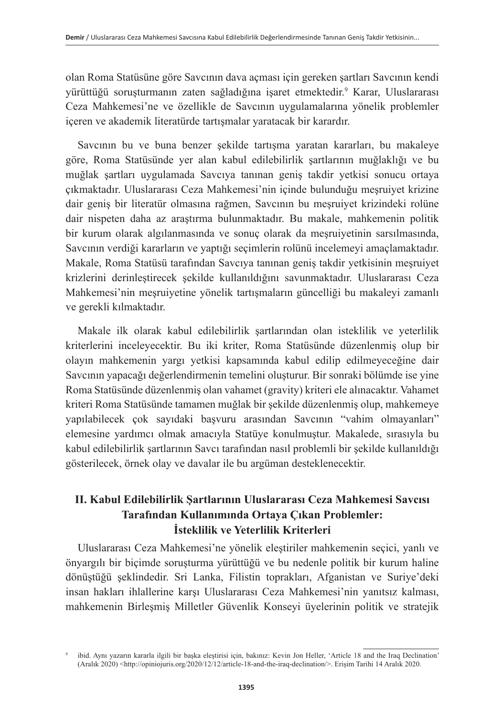olan Roma Statüsüne göre Savcının dava açması için gereken şartları Savcının kendi yürüttüğü soruşturmanın zaten sağladığına işaret etmektedir.9 Karar, Uluslararası Ceza Mahkemesi'ne ve özellikle de Savcının uygulamalarına yönelik problemler içeren ve akademik literatürde tartışmalar yaratacak bir karardır.

Savcının bu ve buna benzer şekilde tartışma yaratan kararları, bu makaleye göre, Roma Statüsünde yer alan kabul edilebilirlik şartlarının muğlaklığı ve bu muğlak şartları uygulamada Savcıya tanınan geniş takdir yetkisi sonucu ortaya çıkmaktadır. Uluslararası Ceza Mahkemesi'nin içinde bulunduğu meşruiyet krizine dair geniş bir literatür olmasına rağmen, Savcının bu meşruiyet krizindeki rolüne dair nispeten daha az araştırma bulunmaktadır. Bu makale, mahkemenin politik bir kurum olarak algılanmasında ve sonuç olarak da meşruiyetinin sarsılmasında, Savcının verdiği kararların ve yaptığı seçimlerin rolünü incelemeyi amaçlamaktadır. Makale, Roma Statüsü tarafından Savcıya tanınan geniş takdir yetkisinin meşruiyet krizlerini derinleştirecek şekilde kullanıldığını savunmaktadır. Uluslararası Ceza Mahkemesi'nin meşruiyetine yönelik tartışmaların güncelliği bu makaleyi zamanlı ve gerekli kılmaktadır.

Makale ilk olarak kabul edilebilirlik şartlarından olan isteklilik ve yeterlilik kriterlerini inceleyecektir. Bu iki kriter, Roma Statüsünde düzenlenmiş olup bir olayın mahkemenin yargı yetkisi kapsamında kabul edilip edilmeyeceğine dair Savcının yapacağı değerlendirmenin temelini oluşturur. Bir sonraki bölümde ise yine Roma Statüsünde düzenlenmiş olan vahamet (gravity) kriteri ele alınacaktır. Vahamet kriteri Roma Statüsünde tamamen muğlak bir şekilde düzenlenmiş olup, mahkemeye yapılabilecek çok sayıdaki başvuru arasından Savcının "vahim olmayanları" elemesine yardımcı olmak amacıyla Statüye konulmuştur. Makalede, sırasıyla bu kabul edilebilirlik şartlarının Savcı tarafından nasıl problemli bir şekilde kullanıldığı gösterilecek, örnek olay ve davalar ile bu argüman desteklenecektir.

## **II. Kabul Edilebilirlik Şartlarının Uluslararası Ceza Mahkemesi Savcısı Tarafından Kullanımında Ortaya Çıkan Problemler: İsteklilik ve Yeterlilik Kriterleri**

Uluslararası Ceza Mahkemesi'ne yönelik eleştiriler mahkemenin seçici, yanlı ve önyargılı bir biçimde soruşturma yürüttüğü ve bu nedenle politik bir kurum haline dönüştüğü şeklindedir. Sri Lanka, Filistin toprakları, Afganistan ve Suriye'deki insan hakları ihlallerine karşı Uluslararası Ceza Mahkemesi'nin yanıtsız kalması, mahkemenin Birleşmiş Milletler Güvenlik Konseyi üyelerinin politik ve stratejik

<sup>9</sup> ibid. Aynı yazarın kararla ilgili bir başka eleştirisi için, bakınız: Kevin Jon Heller, 'Article 18 and the Iraq Declination' (Aralık 2020) <http://opiniojuris.org/2020/12/12/article-18-and-the-iraq-declination/>. Erişim Tarihi 14 Aralık 2020.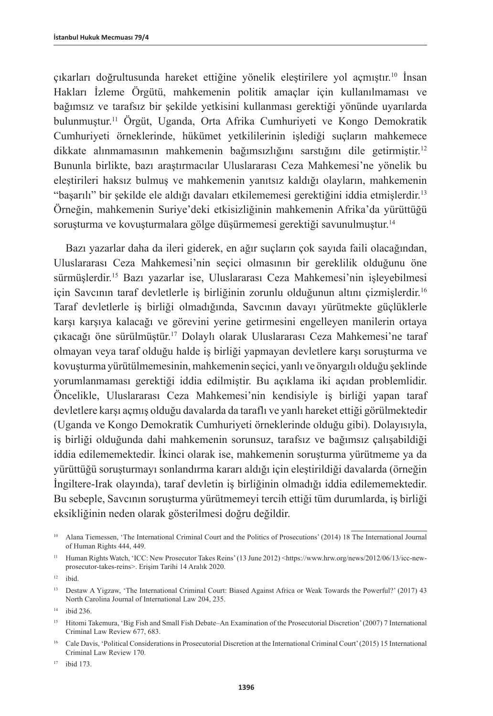çıkarları doğrultusunda hareket ettiğine yönelik eleştirilere yol açmıştır.10 İnsan Hakları İzleme Örgütü, mahkemenin politik amaçlar için kullanılmaması ve bağımsız ve tarafsız bir şekilde yetkisini kullanması gerektiği yönünde uyarılarda bulunmuştur.11 Örgüt, Uganda, Orta Afrika Cumhuriyeti ve Kongo Demokratik Cumhuriyeti örneklerinde, hükümet yetkililerinin işlediği suçların mahkemece dikkate alınmamasının mahkemenin bağımsızlığını sarstığını dile getirmiştir.12 Bununla birlikte, bazı araştırmacılar Uluslararası Ceza Mahkemesi'ne yönelik bu eleştirileri haksız bulmuş ve mahkemenin yanıtsız kaldığı olayların, mahkemenin "başarılı" bir şekilde ele aldığı davaları etkilememesi gerektiğini iddia etmişlerdir.<sup>13</sup> Örneğin, mahkemenin Suriye'deki etkisizliğinin mahkemenin Afrika'da yürüttüğü soruşturma ve kovuşturmalara gölge düşürmemesi gerektiği savunulmuştur. 14

Bazı yazarlar daha da ileri giderek, en ağır suçların çok sayıda faili olacağından, Uluslararası Ceza Mahkemesi'nin seçici olmasının bir gereklilik olduğunu öne sürmüşlerdir.15 Bazı yazarlar ise, Uluslararası Ceza Mahkemesi'nin işleyebilmesi için Savcının taraf devletlerle iş birliğinin zorunlu olduğunun altını çizmişlerdir.16 Taraf devletlerle iş birliği olmadığında, Savcının davayı yürütmekte güçlüklerle karşı karşıya kalacağı ve görevini yerine getirmesini engelleyen manilerin ortaya çıkacağı öne sürülmüştür.17 Dolaylı olarak Uluslararası Ceza Mahkemesi'ne taraf olmayan veya taraf olduğu halde iş birliği yapmayan devletlere karşı soruşturma ve kovuşturma yürütülmemesinin, mahkemenin seçici, yanlı ve önyargılı olduğu şeklinde yorumlanmaması gerektiği iddia edilmiştir. Bu açıklama iki açıdan problemlidir. Öncelikle, Uluslararası Ceza Mahkemesi'nin kendisiyle iş birliği yapan taraf devletlere karşı açmış olduğu davalarda da taraflı ve yanlı hareket ettiği görülmektedir (Uganda ve Kongo Demokratik Cumhuriyeti örneklerinde olduğu gibi). Dolayısıyla, iş birliği olduğunda dahi mahkemenin sorunsuz, tarafsız ve bağımsız çalışabildiği iddia edilememektedir. İkinci olarak ise, mahkemenin soruşturma yürütmeme ya da yürüttüğü soruşturmayı sonlandırma kararı aldığı için eleştirildiği davalarda (örneğin İngiltere-Irak olayında), taraf devletin iş birliğinin olmadığı iddia edilememektedir. Bu sebeple, Savcının soruşturma yürütmemeyi tercih ettiği tüm durumlarda, iş birliği eksikliğinin neden olarak gösterilmesi doğru değildir.

<sup>&</sup>lt;sup>10</sup> Alana Tiemessen, 'The International Criminal Court and the Politics of Prosecutions' (2014) 18 The International Journal of Human Rights 444, 449.

<sup>11</sup> Human Rights Watch, 'ICC: New Prosecutor Takes Reins' (13 June 2012) <https://www.hrw.org/news/2012/06/13/icc-newprosecutor-takes-reins>. Erişim Tarihi 14 Aralık 2020.

 $12$  ibid.

<sup>&</sup>lt;sup>13</sup> Destaw A Yigzaw, 'The International Criminal Court: Biased Against Africa or Weak Towards the Powerful?' (2017) 43 North Carolina Journal of International Law 204, 235.

<sup>14</sup> ibid 236.

<sup>&</sup>lt;sup>15</sup> Hitomi Takemura, 'Big Fish and Small Fish Debate–An Examination of the Prosecutorial Discretion' (2007) 7 International Criminal Law Review 677, 683.

<sup>16</sup> Cale Davis, 'Political Considerations in Prosecutorial Discretion at the International Criminal Court' (2015) 15 International Criminal Law Review 170.

<sup>17</sup> ibid 173.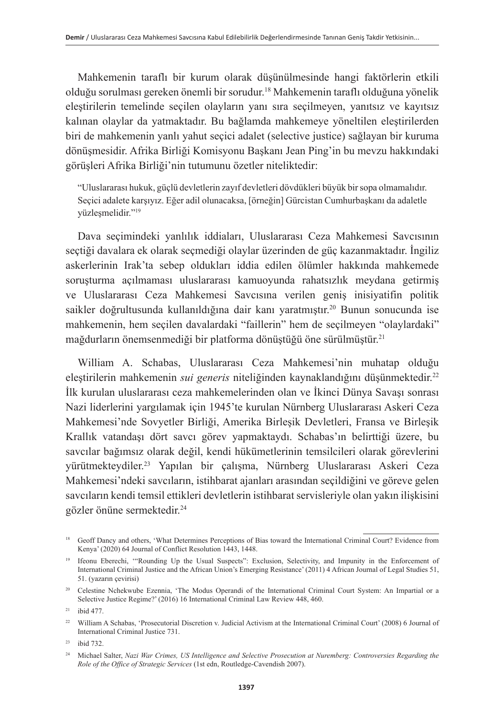Mahkemenin taraflı bir kurum olarak düşünülmesinde hangi faktörlerin etkili olduğu sorulması gereken önemli bir sorudur.18 Mahkemenin taraflı olduğuna yönelik eleştirilerin temelinde seçilen olayların yanı sıra seçilmeyen, yanıtsız ve kayıtsız kalınan olaylar da yatmaktadır. Bu bağlamda mahkemeye yöneltilen eleştirilerden biri de mahkemenin yanlı yahut seçici adalet (selective justice) sağlayan bir kuruma dönüşmesidir. Afrika Birliği Komisyonu Başkanı Jean Ping'in bu mevzu hakkındaki görüşleri Afrika Birliği'nin tutumunu özetler niteliktedir:

"Uluslararası hukuk, güçlü devletlerin zayıf devletleri dövdükleri büyük bir sopa olmamalıdır. Seçici adalete karşıyız. Eğer adil olunacaksa, [örneğin] Gürcistan Cumhurbaşkanı da adaletle yüzleşmelidir."19

Dava seçimindeki yanlılık iddiaları, Uluslararası Ceza Mahkemesi Savcısının seçtiği davalara ek olarak seçmediği olaylar üzerinden de güç kazanmaktadır. İngiliz askerlerinin Irak'ta sebep oldukları iddia edilen ölümler hakkında mahkemede soruşturma açılmaması uluslararası kamuoyunda rahatsızlık meydana getirmiş ve Uluslararası Ceza Mahkemesi Savcısına verilen geniş inisiyatifin politik saikler doğrultusunda kullanıldığına dair kanı yaratmıştır.<sup>20</sup> Bunun sonucunda ise mahkemenin, hem seçilen davalardaki "faillerin" hem de seçilmeyen "olaylardaki" mağdurların önemsenmediği bir platforma dönüştüğü öne sürülmüştür. 21

William A. Schabas, Uluslararası Ceza Mahkemesi'nin muhatap olduğu eleştirilerin mahkemenin *sui generis* niteliğinden kaynaklandığını düşünmektedir.<sup>22</sup> İlk kurulan uluslararası ceza mahkemelerinden olan ve İkinci Dünya Savaşı sonrası Nazi liderlerini yargılamak için 1945'te kurulan Nürnberg Uluslararası Askeri Ceza Mahkemesi'nde Sovyetler Birliği, Amerika Birleşik Devletleri, Fransa ve Birleşik Krallık vatandaşı dört savcı görev yapmaktaydı. Schabas'ın belirttiği üzere, bu savcılar bağımsız olarak değil, kendi hükümetlerinin temsilcileri olarak görevlerini yürütmekteydiler.23 Yapılan bir çalışma, Nürnberg Uluslararası Askeri Ceza Mahkemesi'ndeki savcıların, istihbarat ajanları arasından seçildiğini ve göreve gelen savcıların kendi temsil ettikleri devletlerin istihbarat servisleriyle olan yakın ilişkisini gözler önüne sermektedir.24

<sup>&</sup>lt;sup>18</sup> Geoff Dancy and others, 'What Determines Perceptions of Bias toward the International Criminal Court? Evidence from Kenya' (2020) 64 Journal of Conflict Resolution 1443, 1448.

<sup>19</sup> Ifeonu Eberechi, '"Rounding Up the Usual Suspects": Exclusion, Selectivity, and Impunity in the Enforcement of International Criminal Justice and the African Union's Emerging Resistance' (2011) 4 African Journal of Legal Studies 51, 51. (yazarın çevirisi)

<sup>20</sup> Celestine Nchekwube Ezennia, 'The Modus Operandi of the International Criminal Court System: An Impartial or a Selective Justice Regime?' (2016) 16 International Criminal Law Review 448, 460.

<sup>21</sup> ibid 477.

<sup>22</sup> William A Schabas, 'Prosecutorial Discretion v. Judicial Activism at the International Criminal Court' (2008) 6 Journal of International Criminal Justice 731.

<sup>23</sup> ibid 732.

<sup>24</sup> Michael Salter, *Nazi War Crimes, US Intelligence and Selective Prosecution at Nuremberg: Controversies Regarding the Role of the Office of Strategic Services* (1st edn, Routledge-Cavendish 2007).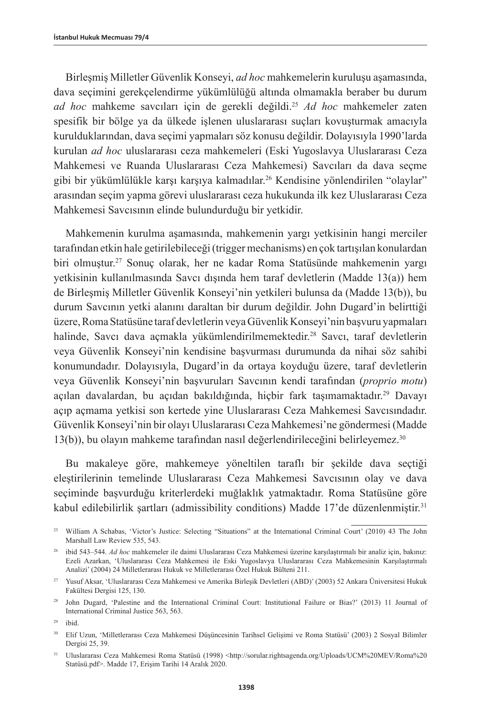Birleşmiş Milletler Güvenlik Konseyi, *ad hoc* mahkemelerin kuruluşu aşamasında, dava seçimini gerekçelendirme yükümlülüğü altında olmamakla beraber bu durum *ad hoc* mahkeme savcıları için de gerekli değildi.25 *Ad hoc* mahkemeler zaten spesifik bir bölge ya da ülkede işlenen uluslararası suçları kovuşturmak amacıyla kurulduklarından, dava seçimi yapmaları söz konusu değildir. Dolayısıyla 1990'larda kurulan *ad hoc* uluslararası ceza mahkemeleri (Eski Yugoslavya Uluslararası Ceza Mahkemesi ve Ruanda Uluslararası Ceza Mahkemesi) Savcıları da dava seçme gibi bir yükümlülükle karşı karşıya kalmadılar.26 Kendisine yönlendirilen "olaylar" arasından seçim yapma görevi uluslararası ceza hukukunda ilk kez Uluslararası Ceza Mahkemesi Savcısının elinde bulundurduğu bir yetkidir.

Mahkemenin kurulma aşamasında, mahkemenin yargı yetkisinin hangi merciler tarafından etkin hale getirilebileceği (trigger mechanisms) en çok tartışılan konulardan biri olmuştur.27 Sonuç olarak, her ne kadar Roma Statüsünde mahkemenin yargı yetkisinin kullanılmasında Savcı dışında hem taraf devletlerin (Madde 13(a)) hem de Birleşmiş Milletler Güvenlik Konseyi'nin yetkileri bulunsa da (Madde 13(b)), bu durum Savcının yetki alanını daraltan bir durum değildir. John Dugard'in belirttiği üzere, Roma Statüsüne taraf devletlerin veya Güvenlik Konseyi'nin başvuru yapmaları halinde, Savcı dava açmakla yükümlendirilmemektedir.<sup>28</sup> Savcı, taraf devletlerin veya Güvenlik Konseyi'nin kendisine başvurması durumunda da nihai söz sahibi konumundadır. Dolayısıyla, Dugard'in da ortaya koyduğu üzere, taraf devletlerin veya Güvenlik Konseyi'nin başvuruları Savcının kendi tarafından (*proprio motu*) açılan davalardan, bu açıdan bakıldığında, hiçbir fark taşımamaktadır.<sup>29</sup> Davayı açıp açmama yetkisi son kertede yine Uluslararası Ceza Mahkemesi Savcısındadır. Güvenlik Konseyi'nin bir olayı Uluslararası Ceza Mahkemesi'ne göndermesi (Madde 13(b)), bu olayın mahkeme tarafından nasıl değerlendirileceğini belirleyemez.30

Bu makaleye göre, mahkemeye yöneltilen taraflı bir şekilde dava seçtiği eleştirilerinin temelinde Uluslararası Ceza Mahkemesi Savcısının olay ve dava seçiminde başvurduğu kriterlerdeki muğlaklık yatmaktadır. Roma Statüsüne göre kabul edilebilirlik şartları (admissibility conditions) Madde 17'de düzenlenmiştir.31

<sup>29</sup> ibid.

<sup>&</sup>lt;sup>25</sup> William A Schabas, 'Victor's Justice: Selecting "Situations" at the International Criminal Court' (2010) 43 The John Marshall Law Review 535, 543.

<sup>26</sup> ibid 543–544. *Ad hoc* mahkemeler ile daimi Uluslararası Ceza Mahkemesi üzerine karşılaştırmalı bir analiz için, bakınız: Ezeli Azarkan, 'Uluslararası Ceza Mahkemesi ile Eski Yugoslavya Uluslararası Ceza Mahkemesinin Karşılaştırmalı Analizi' (2004) 24 Milletlerarası Hukuk ve Milletlerarası Özel Hukuk Bülteni 211.

<sup>27</sup> Yusuf Aksar, 'Uluslararası Ceza Mahkemesi ve Amerika Birleşik Devletleri (ABD)' (2003) 52 Ankara Üniversitesi Hukuk Fakültesi Dergisi 125, 130.

<sup>&</sup>lt;sup>28</sup> John Dugard, 'Palestine and the International Criminal Court: Institutional Failure or Bias?' (2013) 11 Journal of International Criminal Justice 563, 563.

<sup>30</sup> Elif Uzun, 'Milletlerarası Ceza Mahkemesi Düşüncesinin Tarihsel Gelişimi ve Roma Statüsü' (2003) 2 Sosyal Bilimler Dergisi 25, 39.

<sup>&</sup>lt;sup>31</sup> Uluslararası Ceza Mahkemesi Roma Statüsü (1998) <http://sorular.rightsagenda.org/Uploads/UCM%20MEV/Roma%20 Statüsü.pdf>. Madde 17, Erişim Tarihi 14 Aralık 2020.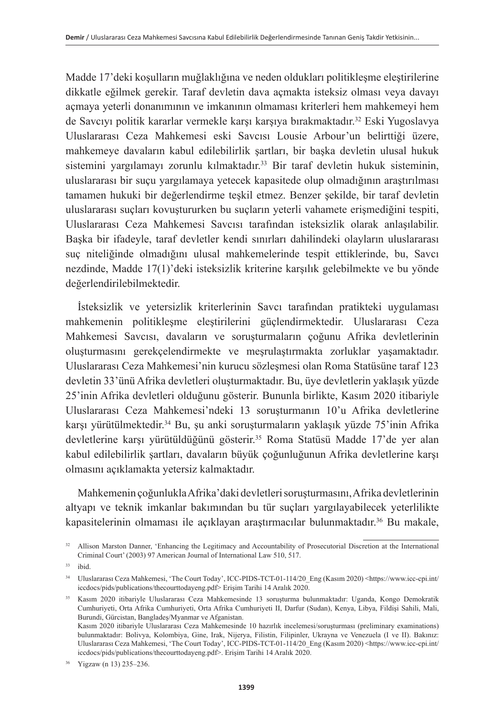Madde 17'deki koşulların muğlaklığına ve neden oldukları politikleşme eleştirilerine dikkatle eğilmek gerekir. Taraf devletin dava açmakta isteksiz olması veya davayı açmaya yeterli donanımının ve imkanının olmaması kriterleri hem mahkemeyi hem de Savcıyı politik kararlar vermekle karşı karşıya bırakmaktadır.32 Eski Yugoslavya Uluslararası Ceza Mahkemesi eski Savcısı Lousie Arbour'un belirttiği üzere, mahkemeye davaların kabul edilebilirlik şartları, bir başka devletin ulusal hukuk sistemini yargılamayı zorunlu kılmaktadır.<sup>33</sup> Bir taraf devletin hukuk sisteminin, uluslararası bir suçu yargılamaya yetecek kapasitede olup olmadığının araştırılması tamamen hukuki bir değerlendirme teşkil etmez. Benzer şekilde, bir taraf devletin uluslararası suçları kovuştururken bu suçların yeterli vahamete erişmediğini tespiti, Uluslararası Ceza Mahkemesi Savcısı tarafından isteksizlik olarak anlaşılabilir. Başka bir ifadeyle, taraf devletler kendi sınırları dahilindeki olayların uluslararası suç niteliğinde olmadığını ulusal mahkemelerinde tespit ettiklerinde, bu, Savcı nezdinde, Madde 17(1)'deki isteksizlik kriterine karşılık gelebilmekte ve bu yönde değerlendirilebilmektedir.

İsteksizlik ve yetersizlik kriterlerinin Savcı tarafından pratikteki uygulaması mahkemenin politikleşme eleştirilerini güçlendirmektedir. Uluslararası Ceza Mahkemesi Savcısı, davaların ve soruşturmaların çoğunu Afrika devletlerinin oluşturmasını gerekçelendirmekte ve meşrulaştırmakta zorluklar yaşamaktadır. Uluslararası Ceza Mahkemesi'nin kurucu sözleşmesi olan Roma Statüsüne taraf 123 devletin 33'ünü Afrika devletleri oluşturmaktadır. Bu, üye devletlerin yaklaşık yüzde 25'inin Afrika devletleri olduğunu gösterir. Bununla birlikte, Kasım 2020 itibariyle Uluslararası Ceza Mahkemesi'ndeki 13 soruşturmanın 10'u Afrika devletlerine karşı yürütülmektedir.34 Bu, şu anki soruşturmaların yaklaşık yüzde 75'inin Afrika devletlerine karşı yürütüldüğünü gösterir.<sup>35</sup> Roma Statüsü Madde 17'de yer alan kabul edilebilirlik şartları, davaların büyük çoğunluğunun Afrika devletlerine karşı olmasını açıklamakta yetersiz kalmaktadır.

Mahkemenin çoğunlukla Afrika'daki devletleri soruşturmasını, Afrika devletlerinin altyapı ve teknik imkanlar bakımından bu tür suçları yargılayabilecek yeterlilikte kapasitelerinin olmaması ile açıklayan araştırmacılar bulunmaktadır.36 Bu makale,

<sup>34</sup> Uluslararası Ceza Mahkemesi, 'The Court Today', ICC-PIDS-TCT-01-114/20\_Eng (Kasım 2020) <https://www.icc-cpi.int/ iccdocs/pids/publications/thecourttodayeng.pdf> Erişim Tarihi 14 Aralık 2020.

<sup>35</sup> Kasım 2020 itibariyle Uluslararası Ceza Mahkemesinde 13 soruşturma bulunmaktadır: Uganda, Kongo Demokratik Cumhuriyeti, Orta Afrika Cumhuriyeti, Orta Afrika Cumhuriyeti II, Darfur (Sudan), Kenya, Libya, Fildişi Sahili, Mali, Burundi, Gürcistan, Bangladeş/Myanmar ve Afganistan. Kasım 2020 itibariyle Uluslararası Ceza Mahkemesinde 10 hazırlık incelemesi/soruşturması (preliminary examinations) bulunmaktadır: Bolivya, Kolombiya, Gine, Irak, Nijerya, Filistin, Filipinler, Ukrayna ve Venezuela (I ve II). Bakınız: Uluslararası Ceza Mahkemesi, 'The Court Today', ICC-PIDS-TCT-01-114/20\_Eng (Kasım 2020) <[https://www.icc-cpi.int/](https://www.icc-cpi.int/iccdocs/pids/publications/thecourttodayeng.pdf) [iccdocs/pids/publications/thecourttodayeng.pdf](https://www.icc-cpi.int/iccdocs/pids/publications/thecourttodayeng.pdf)>. Erişim Tarihi 14 Aralık 2020.

<sup>36</sup> Yigzaw (n 13) 235–236.

<sup>&</sup>lt;sup>32</sup> Allison Marston Danner, 'Enhancing the Legitimacy and Accountability of Prosecutorial Discretion at the International Criminal Court' (2003) 97 American Journal of International Law 510, 517.

<sup>33</sup> ibid.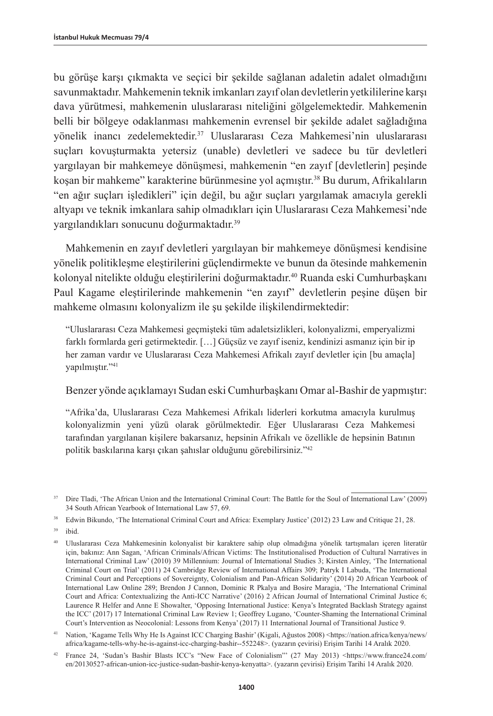bu görüşe karşı çıkmakta ve seçici bir şekilde sağlanan adaletin adalet olmadığını savunmaktadır. Mahkemenin teknik imkanları zayıf olan devletlerin yetkililerine karşı dava yürütmesi, mahkemenin uluslararası niteliğini gölgelemektedir. Mahkemenin belli bir bölgeye odaklanması mahkemenin evrensel bir şekilde adalet sağladığına yönelik inancı zedelemektedir.37 Uluslararası Ceza Mahkemesi'nin uluslararası suçları kovuşturmakta yetersiz (unable) devletleri ve sadece bu tür devletleri yargılayan bir mahkemeye dönüşmesi, mahkemenin "en zayıf [devletlerin] peşinde koşan bir mahkeme" karakterine bürünmesine yol açmıştır.<sup>38</sup> Bu durum, Afrikalıların "en ağır suçları işledikleri" için değil, bu ağır suçları yargılamak amacıyla gerekli altyapı ve teknik imkanlara sahip olmadıkları için Uluslararası Ceza Mahkemesi'nde yargılandıkları sonucunu doğurmaktadır.39

Mahkemenin en zayıf devletleri yargılayan bir mahkemeye dönüşmesi kendisine yönelik politikleşme eleştirilerini güçlendirmekte ve bunun da ötesinde mahkemenin kolonyal nitelikte olduğu eleştirilerini doğurmaktadır.<sup>40</sup> Ruanda eski Cumhurbaşkanı Paul Kagame eleştirilerinde mahkemenin "en zayıf" devletlerin peşine düşen bir mahkeme olmasını kolonyalizm ile şu şekilde ilişkilendirmektedir:

"Uluslararası Ceza Mahkemesi geçmişteki tüm adaletsizlikleri, kolonyalizmi, emperyalizmi farklı formlarda geri getirmektedir. […] Güçsüz ve zayıf iseniz, kendinizi asmanız için bir ip her zaman vardır ve Uluslararası Ceza Mahkemesi Afrikalı zayıf devletler için [bu amaçla] yapılmıştır."41

#### Benzer yönde açıklamayı Sudan eski Cumhurbaşkanı Omar al-Bashir de yapmıştır:

"Afrika'da, Uluslararası Ceza Mahkemesi Afrikalı liderleri korkutma amacıyla kurulmuş kolonyalizmin yeni yüzü olarak görülmektedir. Eğer Uluslararası Ceza Mahkemesi tarafından yargılanan kişilere bakarsanız, hepsinin Afrikalı ve özellikle de hepsinin Batının politik baskılarına karşı çıkan şahıslar olduğunu görebilirsiniz."42

<sup>&</sup>lt;sup>37</sup> Dire Tladi, 'The African Union and the International Criminal Court: The Battle for the Soul of International Law' (2009) 34 South African Yearbook of International Law 57, 69.

<sup>&</sup>lt;sup>38</sup> Edwin Bikundo, 'The International Criminal Court and Africa: Exemplary Justice' (2012) 23 Law and Critique 21, 28.

<sup>39</sup> ibid.

<sup>40</sup> Uluslararası Ceza Mahkemesinin kolonyalist bir karaktere sahip olup olmadığına yönelik tartışmaları içeren literatür için, bakınız: Ann Sagan, 'African Criminals/African Victims: The Institutionalised Production of Cultural Narratives in International Criminal Law' (2010) 39 Millennium: Journal of International Studies 3; Kirsten Ainley, 'The International Criminal Court on Trial' (2011) 24 Cambridge Review of International Affairs 309; Patryk I Labuda, 'The International Criminal Court and Perceptions of Sovereignty, Colonialism and Pan-African Solidarity' (2014) 20 African Yearbook of International Law Online 289; Brendon J Cannon, Dominic R Pkalya and Bosire Maragia, 'The International Criminal Court and Africa: Contextualizing the Anti-ICC Narrative' (2016) 2 African Journal of International Criminal Justice 6; Laurence R Helfer and Anne E Showalter, 'Opposing International Justice: Kenya's Integrated Backlash Strategy against the ICC' (2017) 17 International Criminal Law Review 1; Geoffrey Lugano, 'Counter-Shaming the International Criminal Court's Intervention as Neocolonial: Lessons from Kenya' (2017) 11 International Journal of Transitional Justice 9.

<sup>41</sup> Nation, 'Kagame Tells Why He Is Against ICC Charging Bashir' (Kigali, Ağustos 2008) <https://nation.africa/kenya/news/ africa/kagame-tells-why-he-is-against-icc-charging-bashir--552248>. (yazarın çevirisi) Erişim Tarihi 14 Aralık 2020.

<sup>42</sup> France 24, 'Sudan's Bashir Blasts ICC's "New Face of Colonialism"' (27 May 2013) <https://www.france24.com/ en/20130527-african-union-icc-justice-sudan-bashir-kenya-kenyatta>. (yazarın çevirisi) Erişim Tarihi 14 Aralık 2020.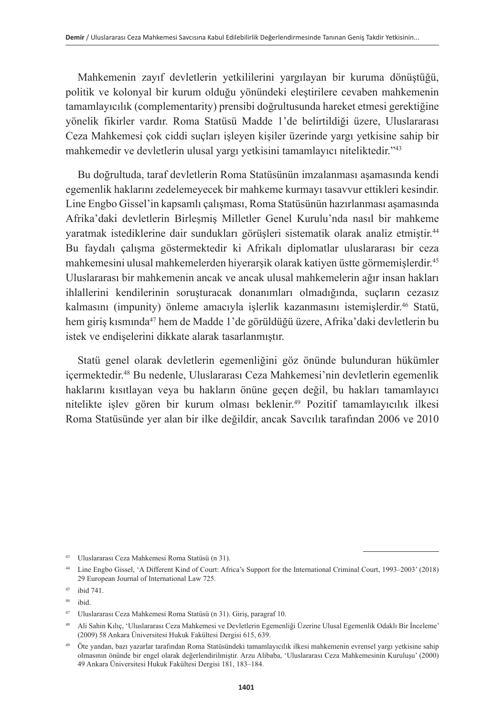Mahkemenin zayıf devletlerin yetkililerini yargılayan bir kuruma dönüştüğü, politik ve kolonyal bir kurum olduğu yönündeki eleştirilere cevaben mahkemenin tamamlayıcılık (complementarity) prensibi doğrultusunda hareket etmesi gerektiğine yönelik fikirler vardır. Roma Statüsü Madde 1'de belirtildiği üzere, Uluslararası Ceza Mahkemesi çok ciddi suçları işleyen kişiler üzerinde yargı yetkisine sahip bir mahkemedir ve devletlerin ulusal yargı yetkisini tamamlayıcı niteliktedir."43

Bu doğrultuda, taraf devletlerin Roma Statüsünün imzalanması aşamasında kendi egemenlik haklarını zedelemeyecek bir mahkeme kurmayı tasavvur ettikleri kesindir. Line Engbo Gissel'in kapsamlı çalışması, Roma Statüsünün hazırlanması aşamasında Afrika'daki devletlerin Birleşmiş Milletler Genel Kurulu'nda nasıl bir mahkeme yaratmak istediklerine dair sundukları görüşleri sistematik olarak analiz etmiştir.<sup>44</sup> Bu faydalı çalışma göstermektedir ki Afrikalı diplomatlar uluslararası bir ceza mahkemesini ulusal mahkemelerden hiyerarşik olarak katiyen üstte görmemişlerdir.45 Uluslararası bir mahkemenin ancak ve ancak ulusal mahkemelerin ağır insan hakları ihlallerini kendilerinin soruşturacak donanımları olmadığında, suçların cezasız kalmasını (impunity) önleme amacıyla islerlik kazanmasını istemislerdir.<sup>46</sup> Statü, hem giriş kısmında<sup>47</sup> hem de Madde 1'de görüldüğü üzere, Afrika'daki devletlerin bu istek ve endişelerini dikkate alarak tasarlanmıştır.

Statü genel olarak devletlerin egemenliğini göz önünde bulunduran hükümler içermektedir.48 Bu nedenle, Uluslararası Ceza Mahkemesi'nin devletlerin egemenlik haklarını kısıtlayan veya bu hakların önüne geçen değil, bu hakları tamamlayıcı nitelikte işlev gören bir kurum olması beklenir.49 Pozitif tamamlayıcılık ilkesi Roma Statüsünde yer alan bir ilke değildir, ancak Savcılık tarafından 2006 ve 2010

<sup>43</sup> Uluslararası Ceza Mahkemesi Roma Statüsü (n 31).

<sup>44</sup> Line Engbo Gissel, 'A Different Kind of Court: Africa's Support for the International Criminal Court, 1993–2003' (2018) 29 European Journal of International Law 725.

<sup>45</sup> ibid 741.

<sup>46</sup> ibid.

<sup>47</sup> Uluslararası Ceza Mahkemesi Roma Statüsü (n 31). Giriş, paragraf 10.

<sup>48</sup> Ali Sahin Kılıç, 'Uluslararası Ceza Mahkemesi ve Devletlerin Egemenliği Üzerine Ulusal Egemenlik Odaklı Bir İnceleme' (2009) 58 Ankara Üniversitesi Hukuk Fakültesi Dergisi 615, 639.

<sup>49</sup> Öte yandan, bazı yazarlar tarafından Roma Statüsündeki tamamlayıcılık ilkesi mahkemenin evrensel yargı yetkisine sahip olmasının önünde bir engel olarak değerlendirilmiştir. Arzu Alibaba, 'Uluslararası Ceza Mahkemesinin Kuruluşu' (2000) 49 Ankara Üniversitesi Hukuk Fakültesi Dergisi 181, 183–184.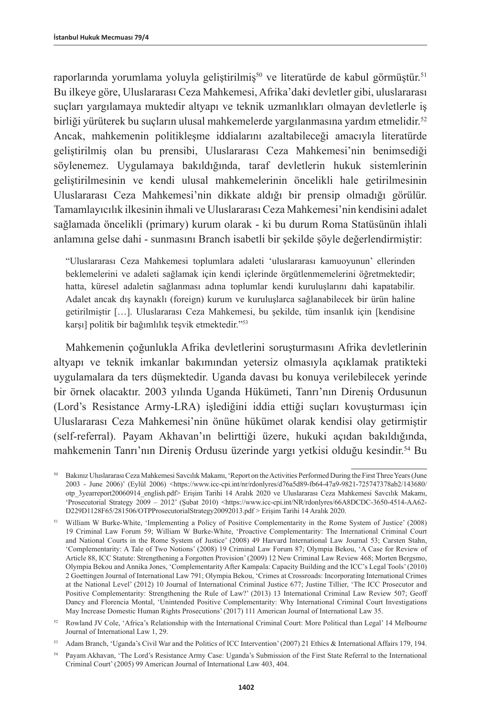raporlarında yorumlama yoluyla geliştirilmiş<sup>50</sup> ve literatürde de kabul görmüştür.<sup>51</sup> Bu ilkeye göre, Uluslararası Ceza Mahkemesi, Afrika'daki devletler gibi, uluslararası suçları yargılamaya muktedir altyapı ve teknik uzmanlıkları olmayan devletlerle iş birliği yürüterek bu suçların ulusal mahkemelerde yargılanmasına yardım etmelidir.<sup>52</sup> Ancak, mahkemenin politikleşme iddialarını azaltabileceği amacıyla literatürde geliştirilmiş olan bu prensibi, Uluslararası Ceza Mahkemesi'nin benimsediği söylenemez. Uygulamaya bakıldığında, taraf devletlerin hukuk sistemlerinin geliştirilmesinin ve kendi ulusal mahkemelerinin öncelikli hale getirilmesinin Uluslararası Ceza Mahkemesi'nin dikkate aldığı bir prensip olmadığı görülür. Tamamlayıcılık ilkesinin ihmali ve Uluslararası Ceza Mahkemesi'nin kendisini adalet sağlamada öncelikli (primary) kurum olarak - ki bu durum Roma Statüsünün ihlali anlamına gelse dahi - sunmasını Branch isabetli bir şekilde şöyle değerlendirmiştir:

"Uluslararası Ceza Mahkemesi toplumlara adaleti 'uluslararası kamuoyunun' ellerinden beklemelerini ve adaleti sağlamak için kendi içlerinde örgütlenmemelerini öğretmektedir; hatta, küresel adaletin sağlanması adına toplumlar kendi kuruluşlarını dahi kapatabilir. Adalet ancak dış kaynaklı (foreign) kurum ve kuruluşlarca sağlanabilecek bir ürün haline getirilmiştir […]. Uluslararası Ceza Mahkemesi, bu şekilde, tüm insanlık için [kendisine karşı] politik bir bağımlılık teşvik etmektedir."53

Mahkemenin çoğunlukla Afrika devletlerini soruşturmasını Afrika devletlerinin altyapı ve teknik imkanlar bakımından yetersiz olmasıyla açıklamak pratikteki uygulamalara da ters düşmektedir. Uganda davası bu konuya verilebilecek yerinde bir örnek olacaktır. 2003 yılında Uganda Hükümeti, Tanrı'nın Direniş Ordusunun (Lord's Resistance Army-LRA) işlediğini iddia ettiği suçları kovuşturması için Uluslararası Ceza Mahkemesi'nin önüne hükümet olarak kendisi olay getirmiştir (self-referral). Payam Akhavan'ın belirttiği üzere, hukuki açıdan bakıldığında, mahkemenin Tanrı'nın Direniş Ordusu üzerinde yargı yetkisi olduğu kesindir.54 Bu

<sup>50</sup> Bakınız Uluslararası Ceza Mahkemesi Savcılık Makamı, 'Report on the Activities Performed During the First Three Years (June 2003 - June 2006)' (Eylül 2006) <[https://www.icc-cpi.int/nr/rdonlyres/d76a5d89-fb64-47a9-9821-725747378ab2/143680/](https://www.icc-cpi.int/nr/rdonlyres/d76a5d89-fb64-47a9-9821-725747378ab2/143680/otp_3yearreport20060914_english.pdf) [otp\\_3yearreport20060914\\_english.pdf](https://www.icc-cpi.int/nr/rdonlyres/d76a5d89-fb64-47a9-9821-725747378ab2/143680/otp_3yearreport20060914_english.pdf)> Erişim Tarihi 14 Aralık 2020 ve Uluslararası Ceza Mahkemesi Savcılık Makamı, 'Prosecutorial Strategy 2009 – 2012' (Şubat 2010) [<https://www.icc-cpi.int/NR/rdonlyres/66A8DCDC-3650-4514-AA62-](https://www.icc-cpi.int/NR/rdonlyres/66A8DCDC-3650-4514-AA62-D229D1128F65/281506/OTPProsecutorialStrategy20092013.pdf) [D229D1128F65/281506/OTPProsecutorialStrategy20092013.pdf](https://www.icc-cpi.int/NR/rdonlyres/66A8DCDC-3650-4514-AA62-D229D1128F65/281506/OTPProsecutorialStrategy20092013.pdf) > Erişim Tarihi 14 Aralık 2020.

<sup>51</sup> William W Burke-White, 'Implementing a Policy of Positive Complementarity in the Rome System of Justice' (2008) 19 Criminal Law Forum 59; William W Burke-White, 'Proactive Complementarity: The International Criminal Court and National Courts in the Rome System of Justice' (2008) 49 Harvard International Law Journal 53; Carsten Stahn, 'Complementarity: A Tale of Two Notions' (2008) 19 Criminal Law Forum 87; Olympia Bekou, 'A Case for Review of Article 88, ICC Statute: Strengthening a Forgotten Provision' (2009) 12 New Criminal Law Review 468; Morten Bergsmo, Olympia Bekou and Annika Jones, 'Complementarity After Kampala: Capacity Building and the ICC's Legal Tools' (2010) 2 Goettingen Journal of International Law 791; Olympia Bekou, 'Crimes at Crossroads: Incorporating International Crimes at the National Level' (2012) 10 Journal of International Criminal Justice 677; Justine Tillier, 'The ICC Prosecutor and Positive Complementarity: Strengthening the Rule of Law?' (2013) 13 International Criminal Law Review 507; Geoff Dancy and Florencia Montal, 'Unintended Positive Complementarity: Why International Criminal Court Investigations May Increase Domestic Human Rights Prosecutions' (2017) 111 American Journal of International Law 35.

<sup>52</sup> Rowland JV Cole, 'Africa's Relationship with the International Criminal Court: More Political than Legal' 14 Melbourne Journal of International Law 1, 29.

<sup>53</sup> Adam Branch, 'Uganda's Civil War and the Politics of ICC Intervention' (2007) 21 Ethics & International Affairs 179, 194.

<sup>54</sup> Payam Akhavan, 'The Lord's Resistance Army Case: Uganda's Submission of the First State Referral to the International Criminal Court' (2005) 99 American Journal of International Law 403, 404.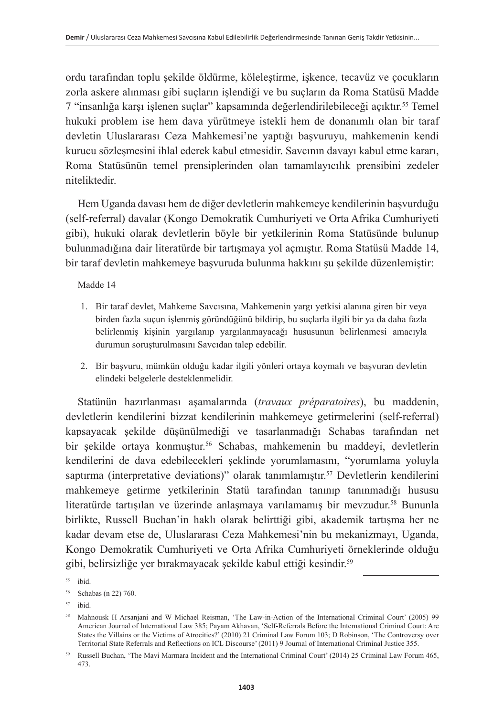ordu tarafından toplu şekilde öldürme, köleleştirme, işkence, tecavüz ve çocukların zorla askere alınması gibi suçların işlendiği ve bu suçların da Roma Statüsü Madde 7 "insanlığa karşı işlenen suçlar" kapsamında değerlendirilebileceği açıktır.55 Temel hukuki problem ise hem dava yürütmeye istekli hem de donanımlı olan bir taraf devletin Uluslararası Ceza Mahkemesi'ne yaptığı başvuruyu, mahkemenin kendi kurucu sözleşmesini ihlal ederek kabul etmesidir. Savcının davayı kabul etme kararı, Roma Statüsünün temel prensiplerinden olan tamamlayıcılık prensibini zedeler niteliktedir.

Hem Uganda davası hem de diğer devletlerin mahkemeye kendilerinin başvurduğu (self-referral) davalar (Kongo Demokratik Cumhuriyeti ve Orta Afrika Cumhuriyeti gibi), hukuki olarak devletlerin böyle bir yetkilerinin Roma Statüsünde bulunup bulunmadığına dair literatürde bir tartışmaya yol açmıştır. Roma Statüsü Madde 14, bir taraf devletin mahkemeye başvuruda bulunma hakkını şu şekilde düzenlemiştir:

Madde 14

- 1. Bir taraf devlet, Mahkeme Savcısına, Mahkemenin yargı yetkisi alanına giren bir veya birden fazla suçun işlenmiş göründüğünü bildirip, bu suçlarla ilgili bir ya da daha fazla belirlenmiş kişinin yargılanıp yargılanmayacağı hususunun belirlenmesi amacıyla durumun soruşturulmasını Savcıdan talep edebilir.
- 2. Bir başvuru, mümkün olduğu kadar ilgili yönleri ortaya koymalı ve başvuran devletin elindeki belgelerle desteklenmelidir.

Statünün hazırlanması aşamalarında (*travaux préparatoires*), bu maddenin, devletlerin kendilerini bizzat kendilerinin mahkemeye getirmelerini (self-referral) kapsayacak şekilde düşünülmediği ve tasarlanmadığı Schabas tarafından net bir şekilde ortaya konmuştur.<sup>56</sup> Schabas, mahkemenin bu maddeyi, devletlerin kendilerini de dava edebilecekleri şeklinde yorumlamasını, "yorumlama yoluyla saptırma (interpretative deviations)" olarak tanımlamıştır.57 Devletlerin kendilerini mahkemeye getirme yetkilerinin Statü tarafından tanınıp tanınmadığı hususu literatürde tartışılan ve üzerinde anlaşmaya varılamamış bir mevzudur.58 Bununla birlikte, Russell Buchan'in haklı olarak belirttiği gibi, akademik tartışma her ne kadar devam etse de, Uluslararası Ceza Mahkemesi'nin bu mekanizmayı, Uganda, Kongo Demokratik Cumhuriyeti ve Orta Afrika Cumhuriyeti örneklerinde olduğu gibi, belirsizliğe yer bırakmayacak şekilde kabul ettiği kesindir. 59

<sup>55</sup> ibid.

<sup>56</sup> Schabas (n 22) 760.

<sup>57</sup> ibid.

<sup>58</sup> Mahnousk H Arsanjani and W Michael Reisman, 'The Law-in-Action of the International Criminal Court' (2005) 99 American Journal of International Law 385; Payam Akhavan, 'Self-Referrals Before the International Criminal Court: Are States the Villains or the Victims of Atrocities?' (2010) 21 Criminal Law Forum 103; D Robinson, 'The Controversy over Territorial State Referrals and Reflections on ICL Discourse' (2011) 9 Journal of International Criminal Justice 355.

<sup>59</sup> Russell Buchan, 'The Mavi Marmara Incident and the International Criminal Court' (2014) 25 Criminal Law Forum 465, 473.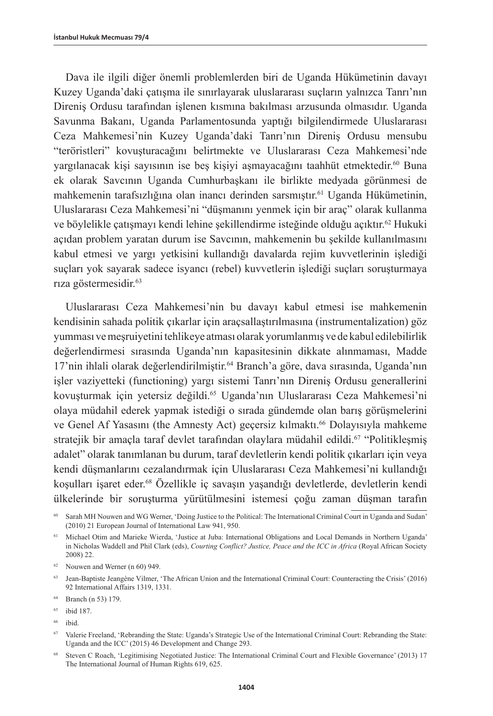Dava ile ilgili diğer önemli problemlerden biri de Uganda Hükümetinin davayı Kuzey Uganda'daki çatışma ile sınırlayarak uluslararası suçların yalnızca Tanrı'nın Direniş Ordusu tarafından işlenen kısmına bakılması arzusunda olmasıdır. Uganda Savunma Bakanı, Uganda Parlamentosunda yaptığı bilgilendirmede Uluslararası Ceza Mahkemesi'nin Kuzey Uganda'daki Tanrı'nın Direniş Ordusu mensubu "teröristleri" kovuşturacağını belirtmekte ve Uluslararası Ceza Mahkemesi'nde yargılanacak kişi sayısının ise beş kişiyi aşmayacağını taahhüt etmektedir.<sup>60</sup> Buna ek olarak Savcının Uganda Cumhurbaşkanı ile birlikte medyada görünmesi de mahkemenin tarafsızlığına olan inancı derinden sarsmıştır.<sup>61</sup> Uganda Hükümetinin, Uluslararası Ceza Mahkemesi'ni "düşmanını yenmek için bir araç" olarak kullanma ve böylelikle çatışmayı kendi lehine şekillendirme isteğinde olduğu açıktır.62 Hukuki açıdan problem yaratan durum ise Savcının, mahkemenin bu şekilde kullanılmasını kabul etmesi ve yargı yetkisini kullandığı davalarda rejim kuvvetlerinin işlediği suçları yok sayarak sadece isyancı (rebel) kuvvetlerin işlediği suçları soruşturmaya rıza göstermesidir.<sup>63</sup>

Uluslararası Ceza Mahkemesi'nin bu davayı kabul etmesi ise mahkemenin kendisinin sahada politik çıkarlar için araçsallaştırılmasına (instrumentalization) göz yumması ve meşruiyetini tehlikeye atması olarak yorumlanmış ve de kabul edilebilirlik değerlendirmesi sırasında Uganda'nın kapasitesinin dikkate alınmaması, Madde 17'nin ihlali olarak değerlendirilmiştir.<sup>64</sup> Branch'a göre, dava sırasında, Uganda'nın işler vaziyetteki (functioning) yargı sistemi Tanrı'nın Direniş Ordusu generallerini kovuşturmak için yetersiz değildi.<sup>65</sup> Uganda'nın Uluslararası Ceza Mahkemesi'ni olaya müdahil ederek yapmak istediği o sırada gündemde olan barış görüşmelerini ve Genel Af Yasasını (the Amnesty Act) geçersiz kılmaktı.<sup>66</sup> Dolayısıyla mahkeme stratejik bir amaçla taraf devlet tarafından olaylara müdahil edildi.<sup>67</sup> "Politikleşmiş adalet" olarak tanımlanan bu durum, taraf devletlerin kendi politik çıkarları için veya kendi düşmanlarını cezalandırmak için Uluslararası Ceza Mahkemesi'ni kullandığı koşulları işaret eder.68 Özellikle iç savaşın yaşandığı devletlerde, devletlerin kendi ülkelerinde bir soruşturma yürütülmesini istemesi çoğu zaman düşman tarafın

- <sup>65</sup> ibid 187.
- <sup>66</sup> ibid.

<sup>60</sup> Sarah MH Nouwen and WG Werner, 'Doing Justice to the Political: The International Criminal Court in Uganda and Sudan' (2010) 21 European Journal of International Law 941, 950.

<sup>61</sup> Michael Otim and Marieke Wierda, 'Justice at Juba: International Obligations and Local Demands in Northern Uganda' in Nicholas Waddell and Phil Clark (eds), *Courting Conflict? Justice, Peace and the ICC in Africa* (Royal African Society 2008) 22.

 $62$  Nouwen and Werner (n 60) 949.

<sup>63</sup> Jean-Baptiste Jeangène Vilmer, 'The African Union and the International Criminal Court: Counteracting the Crisis' (2016) 92 International Affairs 1319, 1331.

<sup>64</sup> Branch (n 53) 179.

<sup>67</sup> Valerie Freeland, 'Rebranding the State: Uganda's Strategic Use of the International Criminal Court: Rebranding the State: Uganda and the ICC' (2015) 46 Development and Change 293.

<sup>68</sup> Steven C Roach, 'Legitimising Negotiated Justice: The International Criminal Court and Flexible Governance' (2013) 17 The International Journal of Human Rights 619, 625.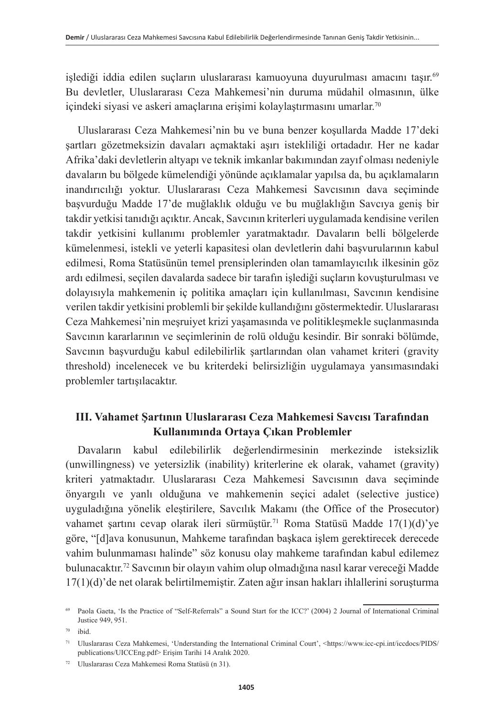islediği iddia edilen suçların uluslararası kamuoyuna duyurulması amacını taşır.<sup>69</sup> Bu devletler, Uluslararası Ceza Mahkemesi'nin duruma müdahil olmasının, ülke içindeki siyasi ve askeri amaçlarına erişimi kolaylaştırmasını umarlar. 70

Uluslararası Ceza Mahkemesi'nin bu ve buna benzer koşullarda Madde 17'deki şartları gözetmeksizin davaları açmaktaki aşırı istekliliği ortadadır. Her ne kadar Afrika'daki devletlerin altyapı ve teknik imkanlar bakımından zayıf olması nedeniyle davaların bu bölgede kümelendiği yönünde açıklamalar yapılsa da, bu açıklamaların inandırıcılığı yoktur. Uluslararası Ceza Mahkemesi Savcısının dava seçiminde başvurduğu Madde 17'de muğlaklık olduğu ve bu muğlaklığın Savcıya geniş bir takdir yetkisi tanıdığı açıktır. Ancak, Savcının kriterleri uygulamada kendisine verilen takdir yetkisini kullanımı problemler yaratmaktadır. Davaların belli bölgelerde kümelenmesi, istekli ve yeterli kapasitesi olan devletlerin dahi başvurularının kabul edilmesi, Roma Statüsünün temel prensiplerinden olan tamamlayıcılık ilkesinin göz ardı edilmesi, seçilen davalarda sadece bir tarafın işlediği suçların kovuşturulması ve dolayısıyla mahkemenin iç politika amaçları için kullanılması, Savcının kendisine verilen takdir yetkisini problemli bir şekilde kullandığını göstermektedir. Uluslararası Ceza Mahkemesi'nin meşruiyet krizi yaşamasında ve politikleşmekle suçlanmasında Savcının kararlarının ve seçimlerinin de rolü olduğu kesindir. Bir sonraki bölümde, Savcının başvurduğu kabul edilebilirlik şartlarından olan vahamet kriteri (gravity threshold) incelenecek ve bu kriterdeki belirsizliğin uygulamaya yansımasındaki problemler tartışılacaktır.

### **III. Vahamet Şartının Uluslararası Ceza Mahkemesi Savcısı Tarafından Kullanımında Ortaya Çıkan Problemler**

Davaların kabul edilebilirlik değerlendirmesinin merkezinde isteksizlik (unwillingness) ve yetersizlik (inability) kriterlerine ek olarak, vahamet (gravity) kriteri yatmaktadır. Uluslararası Ceza Mahkemesi Savcısının dava seçiminde önyargılı ve yanlı olduğuna ve mahkemenin seçici adalet (selective justice) uyguladığına yönelik eleştirilere, Savcılık Makamı (the Office of the Prosecutor) vahamet şartını cevap olarak ileri sürmüştür.<sup>71</sup> Roma Statüsü Madde 17(1)(d)'ye göre, "[d]ava konusunun, Mahkeme tarafından başkaca işlem gerektirecek derecede vahim bulunmaması halinde" söz konusu olay mahkeme tarafından kabul edilemez bulunacaktır.72 Savcının bir olayın vahim olup olmadığına nasıl karar vereceği Madde 17(1)(d)'de net olarak belirtilmemiştir. Zaten ağır insan hakları ihlallerini soruşturma

<sup>69</sup> Paola Gaeta, 'Is the Practice of "Self-Referrals" a Sound Start for the ICC?' (2004) 2 Journal of International Criminal Justice 949, 951.

<sup>70</sup> ibid.

<sup>71</sup> Uluslararası Ceza Mahkemesi, 'Understanding the International Criminal Court', <[https://www.icc-cpi.int/iccdocs/PIDS/](https://www.icc-cpi.int/iccdocs/PIDS/publications/UICCEng.pdf) [publications/UICCEng.pdf>](https://www.icc-cpi.int/iccdocs/PIDS/publications/UICCEng.pdf) Erişim Tarihi 14 Aralık 2020.

<sup>72</sup> Uluslararası Ceza Mahkemesi Roma Statüsü (n 31).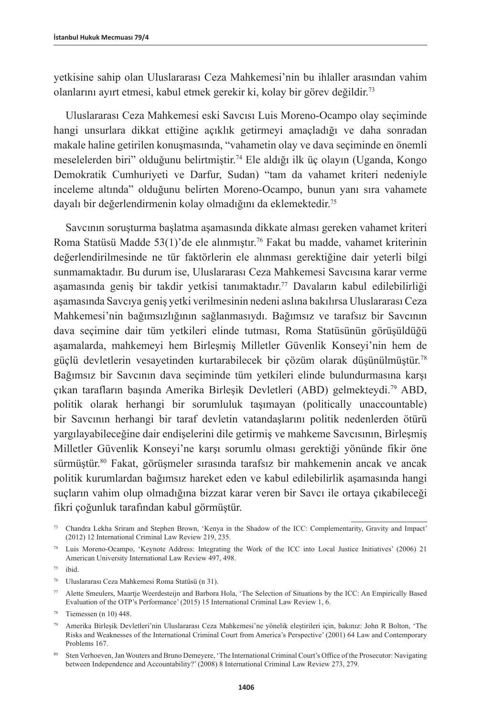yetkisine sahip olan Uluslararası Ceza Mahkemesi'nin bu ihlaller arasından vahim olanlarını ayırt etmesi, kabul etmek gerekir ki, kolay bir görev değildir. 73

Uluslararası Ceza Mahkemesi eski Savcısı Luis Moreno-Ocampo olay seçiminde hangi unsurlara dikkat ettiğine açıklık getirmeyi amaçladığı ve daha sonradan makale haline getirilen konuşmasında, "vahametin olay ve dava seçiminde en önemli meselelerden biri" olduğunu belirtmiştir.74 Ele aldığı ilk üç olayın (Uganda, Kongo Demokratik Cumhuriyeti ve Darfur, Sudan) "tam da vahamet kriteri nedeniyle inceleme altında" olduğunu belirten Moreno-Ocampo, bunun yanı sıra vahamete dayalı bir değerlendirmenin kolay olmadığını da eklemektedir.75

Savcının soruşturma başlatma aşamasında dikkate alması gereken vahamet kriteri Roma Statüsü Madde 53(1)'de ele alınmıştır.<sup>76</sup> Fakat bu madde, vahamet kriterinin değerlendirilmesinde ne tür faktörlerin ele alınması gerektiğine dair yeterli bilgi sunmamaktadır. Bu durum ise, Uluslararası Ceza Mahkemesi Savcısına karar verme aşamasında geniş bir takdir yetkisi tanımaktadır.<sup>77</sup> Davaların kabul edilebilirliği aşamasında Savcıya geniş yetki verilmesinin nedeni aslına bakılırsa Uluslararası Ceza Mahkemesi'nin bağımsızlığının sağlanmasıydı. Bağımsız ve tarafsız bir Savcının dava seçimine dair tüm yetkileri elinde tutması, Roma Statüsünün görüşüldüğü aşamalarda, mahkemeyi hem Birleşmiş Milletler Güvenlik Konseyi'nin hem de güçlü devletlerin vesayetinden kurtarabilecek bir çözüm olarak düşünülmüştür.78 Bağımsız bir Savcının dava seçiminde tüm yetkileri elinde bulundurmasına karşı çıkan tarafların başında Amerika Birleşik Devletleri (ABD) gelmekteydi.79 ABD, politik olarak herhangi bir sorumluluk taşımayan (politically unaccountable) bir Savcının herhangi bir taraf devletin vatandaşlarını politik nedenlerden ötürü yargılayabileceğine dair endişelerini dile getirmiş ve mahkeme Savcısının, Birleşmiş Milletler Güvenlik Konseyi'ne karşı sorumlu olması gerektiği yönünde fikir öne sürmüştür.80 Fakat, görüşmeler sırasında tarafsız bir mahkemenin ancak ve ancak politik kurumlardan bağımsız hareket eden ve kabul edilebilirlik aşamasında hangi suçların vahim olup olmadığına bizzat karar veren bir Savcı ile ortaya çıkabileceği fikri çoğunluk tarafından kabul görmüştür.

<sup>73</sup> Chandra Lekha Sriram and Stephen Brown, 'Kenya in the Shadow of the ICC: Complementarity, Gravity and Impact' (2012) 12 International Criminal Law Review 219, 235.

<sup>74</sup> Luis Moreno-Ocampo, 'Keynote Address: Integrating the Work of the ICC into Local Justice Initiatives' (2006) 21 American University International Law Review 497, 498.

 $75$  ibid.

<sup>76</sup> Uluslararası Ceza Mahkemesi Roma Statüsü (n 31).

<sup>77</sup> Alette Smeulers, Maartje Weerdesteijn and Barbora Hola, 'The Selection of Situations by the ICC: An Empirically Based Evaluation of the OTP's Performance' (2015) 15 International Criminal Law Review 1, 6.

<sup>78</sup> Tiemessen (n 10) 448.

<sup>79</sup> Amerika Birleşik Devletleri'nin Uluslararası Ceza Mahkemesi'ne yönelik eleştirileri için, bakınız: John R Bolton, 'The Risks and Weaknesses of the International Criminal Court from America's Perspective' (2001) 64 Law and Contemporary Problems 167.

<sup>80</sup> Sten Verhoeven, Jan Wouters and Bruno Demeyere, 'The International Criminal Court's Office of the Prosecutor: Navigating between Independence and Accountability?' (2008) 8 International Criminal Law Review 273, 279.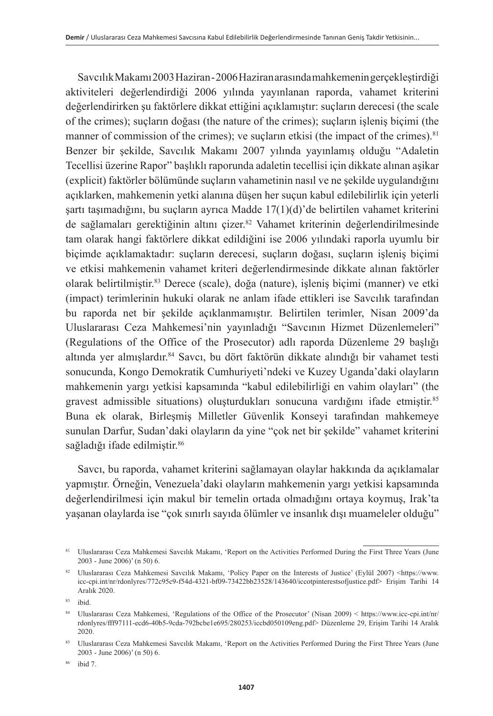Savcılık Makamı 2003 Haziran - 2006 Haziran arasında mahkemenin gerçekleştirdiği aktiviteleri değerlendirdiği 2006 yılında yayınlanan raporda, vahamet kriterini değerlendirirken şu faktörlere dikkat ettiğini açıklamıştır: suçların derecesi (the scale of the crimes); suçların doğası (the nature of the crimes); suçların işleniş biçimi (the manner of commission of the crimes); ve suçların etkisi (the impact of the crimes).<sup>81</sup> Benzer bir şekilde, Savcılık Makamı 2007 yılında yayınlamış olduğu "Adaletin Tecellisi üzerine Rapor" başlıklı raporunda adaletin tecellisi için dikkate alınan aşikar (explicit) faktörler bölümünde suçların vahametinin nasıl ve ne şekilde uygulandığını açıklarken, mahkemenin yetki alanına düşen her suçun kabul edilebilirlik için yeterli şartı taşımadığını, bu suçların ayrıca Madde 17(1)(d)'de belirtilen vahamet kriterini de sağlamaları gerektiğinin altını çizer.<sup>82</sup> Vahamet kriterinin değerlendirilmesinde tam olarak hangi faktörlere dikkat edildiğini ise 2006 yılındaki raporla uyumlu bir biçimde açıklamaktadır: suçların derecesi, suçların doğası, suçların işleniş biçimi ve etkisi mahkemenin vahamet kriteri değerlendirmesinde dikkate alınan faktörler olarak belirtilmiştir.83 Derece (scale), doğa (nature), işleniş biçimi (manner) ve etki (impact) terimlerinin hukuki olarak ne anlam ifade ettikleri ise Savcılık tarafından bu raporda net bir şekilde açıklanmamıştır. Belirtilen terimler, Nisan 2009'da Uluslararası Ceza Mahkemesi'nin yayınladığı "Savcının Hizmet Düzenlemeleri" (Regulations of the Office of the Prosecutor) adlı raporda Düzenleme 29 başlığı altında yer almışlardır.<sup>84</sup> Savcı, bu dört faktörün dikkate alındığı bir vahamet testi sonucunda, Kongo Demokratik Cumhuriyeti'ndeki ve Kuzey Uganda'daki olayların mahkemenin yargı yetkisi kapsamında "kabul edilebilirliği en vahim olayları" (the gravest admissible situations) oluşturdukları sonucuna vardığını ifade etmiştir.85 Buna ek olarak, Birleşmiş Milletler Güvenlik Konseyi tarafından mahkemeye sunulan Darfur, Sudan'daki olayların da yine "çok net bir şekilde" vahamet kriterini sağladığı ifade edilmiştir.<sup>86</sup>

Savcı, bu raporda, vahamet kriterini sağlamayan olaylar hakkında da açıklamalar yapmıştır. Örneğin, Venezuela'daki olayların mahkemenin yargı yetkisi kapsamında değerlendirilmesi için makul bir temelin ortada olmadığını ortaya koymuş, Irak'ta yaşanan olaylarda ise "çok sınırlı sayıda ölümler ve insanlık dışı muameleler olduğu"

<sup>84</sup> Uluslararası Ceza Mahkemesi, 'Regulations of the Office of the Prosecutor' (Nisan 2009) < [https://www.icc-cpi.int/nr/](https://www.icc-cpi.int/nr/rdonlyres/fff97111-ecd6-40b5-9cda-792bcbe1e695/280253/iccbd050109eng.pdf) [rdonlyres/fff97111-ecd6-40b5-9cda-792bcbe1e695/280253/iccbd050109eng.pdf>](https://www.icc-cpi.int/nr/rdonlyres/fff97111-ecd6-40b5-9cda-792bcbe1e695/280253/iccbd050109eng.pdf) Düzenleme 29, Erişim Tarihi 14 Aralık 2020.

85 Uluslararası Ceza Mahkemesi Savcılık Makamı, 'Report on the Activities Performed During the First Three Years (June 2003 - June 2006)' (n 50) 6.

<sup>81</sup> Uluslararası Ceza Mahkemesi Savcılık Makamı, 'Report on the Activities Performed During the First Three Years (June 2003 - June 2006)' (n 50) 6.

<sup>82</sup> Uluslararası Ceza Mahkemesi Savcılık Makamı, 'Policy Paper on the Interests of Justice' (Eylül 2007) <[https://www.](https://www.icc-cpi.int/nr/rdonlyres/772c95c9-f54d-4321-bf09-73422bb23528/143640/iccotpinterestsofjustice.pdf) [icc-cpi.int/nr/rdonlyres/772c95c9-f54d-4321-bf09-73422bb23528/143640/iccotpinterestsofjustice.pdf>](https://www.icc-cpi.int/nr/rdonlyres/772c95c9-f54d-4321-bf09-73422bb23528/143640/iccotpinterestsofjustice.pdf) Erişim Tarihi 14 Aralık 2020.

<sup>83</sup> ibid.

<sup>86</sup> ibid 7.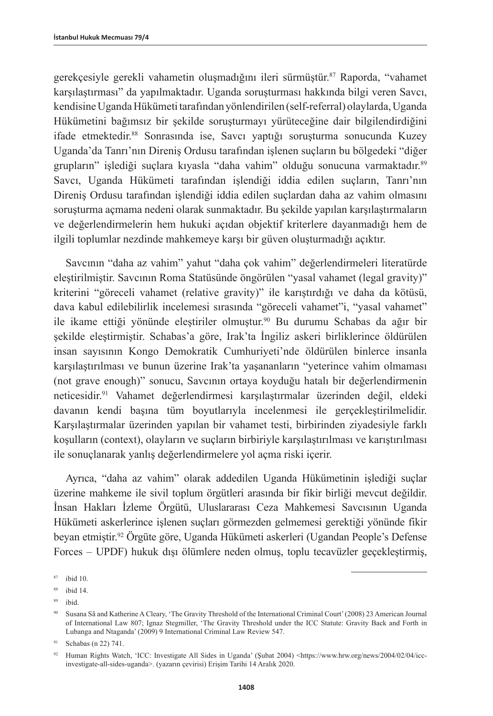gerekçesiyle gerekli vahametin oluşmadığını ileri sürmüştür.87 Raporda, "vahamet karşılaştırması" da yapılmaktadır. Uganda soruşturması hakkında bilgi veren Savcı, kendisine Uganda Hükümeti tarafından yönlendirilen (self-referral) olaylarda, Uganda Hükümetini bağımsız bir şekilde soruşturmayı yürüteceğine dair bilgilendirdiğini ifade etmektedir.<sup>88</sup> Sonrasında ise, Savcı yaptığı soruşturma sonucunda Kuzey Uganda'da Tanrı'nın Direniş Ordusu tarafından işlenen suçların bu bölgedeki "diğer grupların" işlediği suçlara kıyasla "daha vahim" olduğu sonucuna varmaktadır.89 Savcı, Uganda Hükümeti tarafından işlendiği iddia edilen suçların, Tanrı'nın Direniş Ordusu tarafından işlendiği iddia edilen suçlardan daha az vahim olmasını soruşturma açmama nedeni olarak sunmaktadır. Bu şekilde yapılan karşılaştırmaların ve değerlendirmelerin hem hukuki açıdan objektif kriterlere dayanmadığı hem de ilgili toplumlar nezdinde mahkemeye karşı bir güven oluşturmadığı açıktır.

Savcının "daha az vahim" yahut "daha çok vahim" değerlendirmeleri literatürde eleştirilmiştir. Savcının Roma Statüsünde öngörülen "yasal vahamet (legal gravity)" kriterini "göreceli vahamet (relative gravity)" ile karıştırdığı ve daha da kötüsü, dava kabul edilebilirlik incelemesi sırasında "göreceli vahamet"i, "yasal vahamet" ile ikame ettiği yönünde eleştiriler olmuştur.90 Bu durumu Schabas da ağır bir şekilde eleştirmiştir. Schabas'a göre, Irak'ta İngiliz askeri birliklerince öldürülen insan sayısının Kongo Demokratik Cumhuriyeti'nde öldürülen binlerce insanla karşılaştırılması ve bunun üzerine Irak'ta yaşananların "yeterince vahim olmaması (not grave enough)" sonucu, Savcının ortaya koyduğu hatalı bir değerlendirmenin neticesidir.91 Vahamet değerlendirmesi karşılaştırmalar üzerinden değil, eldeki davanın kendi başına tüm boyutlarıyla incelenmesi ile gerçekleştirilmelidir. Karşılaştırmalar üzerinden yapılan bir vahamet testi, birbirinden ziyadesiyle farklı koşulların (context), olayların ve suçların birbiriyle karşılaştırılması ve karıştırılması ile sonuçlanarak yanlış değerlendirmelere yol açma riski içerir.

Ayrıca, "daha az vahim" olarak addedilen Uganda Hükümetinin işlediği suçlar üzerine mahkeme ile sivil toplum örgütleri arasında bir fikir birliği mevcut değildir. İnsan Hakları İzleme Örgütü, Uluslararası Ceza Mahkemesi Savcısının Uganda Hükümeti askerlerince işlenen suçları görmezden gelmemesi gerektiği yönünde fikir beyan etmiştir.92 Örgüte göre, Uganda Hükümeti askerleri (Ugandan People's Defense Forces – UPDF) hukuk dışı ölümlere neden olmuş, toplu tecavüzler geçekleştirmiş,

<sup>87</sup> ibid 10.

<sup>88</sup> ibid 14.

<sup>89</sup> ibid.

<sup>90</sup> Susana Sã and Katherine A Cleary, 'The Gravity Threshold of the International Criminal Court' (2008) 23 American Journal of International Law 807; Ignaz Stegmiller, 'The Gravity Threshold under the ICC Statute: Gravity Back and Forth in Lubanga and Ntaganda' (2009) 9 International Criminal Law Review 547.

<sup>91</sup> Schabas (n 22) 741.

<sup>92</sup> Human Rights Watch, 'ICC: Investigate All Sides in Uganda' (Şubat 2004) <https://www.hrw.org/news/2004/02/04/iccinvestigate-all-sides-uganda>. (yazarın çevirisi) Erişim Tarihi 14 Aralık 2020.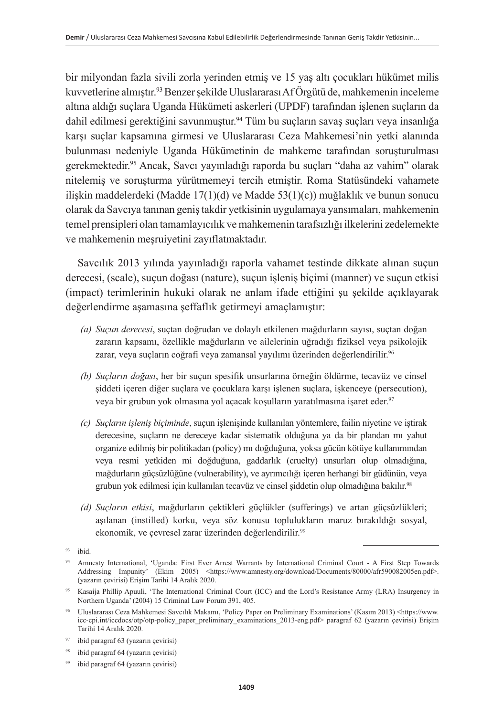bir milyondan fazla sivili zorla yerinden etmiş ve 15 yaş altı çocukları hükümet milis kuvvetlerine almıştır.93 Benzer şekilde Uluslararası Af Örgütü de, mahkemenin inceleme altına aldığı suçlara Uganda Hükümeti askerleri (UPDF) tarafından işlenen suçların da dahil edilmesi gerektiğini savunmuştur.<sup>94</sup> Tüm bu suçların savaş suçları veya insanlığa karşı suçlar kapsamına girmesi ve Uluslararası Ceza Mahkemesi'nin yetki alanında bulunması nedeniyle Uganda Hükümetinin de mahkeme tarafından soruşturulması gerekmektedir.95 Ancak, Savcı yayınladığı raporda bu suçları "daha az vahim" olarak nitelemiş ve soruşturma yürütmemeyi tercih etmiştir. Roma Statüsündeki vahamete ilişkin maddelerdeki (Madde 17(1)(d) ve Madde 53(1)(c)) muğlaklık ve bunun sonucu olarak da Savcıya tanınan geniş takdir yetkisinin uygulamaya yansımaları, mahkemenin temel prensipleri olan tamamlayıcılık ve mahkemenin tarafsızlığı ilkelerini zedelemekte ve mahkemenin meşruiyetini zayıflatmaktadır.

Savcılık 2013 yılında yayınladığı raporla vahamet testinde dikkate alınan suçun derecesi, (scale), suçun doğası (nature), suçun işleniş biçimi (manner) ve suçun etkisi (impact) terimlerinin hukuki olarak ne anlam ifade ettiğini şu şekilde açıklayarak değerlendirme aşamasına şeffaflık getirmeyi amaçlamıştır:

- *(a) Suçun derecesi*, suçtan doğrudan ve dolaylı etkilenen mağdurların sayısı, suçtan doğan zararın kapsamı, özellikle mağdurların ve ailelerinin uğradığı fiziksel veya psikolojik zarar, veya suçların coğrafi veya zamansal yayılımı üzerinden değerlendirilir.<sup>96</sup>
- *(b) Suçların doğası*, her bir suçun spesifik unsurlarına örneğin öldürme, tecavüz ve cinsel şiddeti içeren diğer suçlara ve çocuklara karşı işlenen suçlara, işkenceye (persecution), veya bir grubun yok olmasına yol açacak koşulların yaratılmasına işaret eder. 97
- *(c) Suçların işleniş biçiminde*, suçun işlenişinde kullanılan yöntemlere, failin niyetine ve iştirak derecesine, suçların ne dereceye kadar sistematik olduğuna ya da bir plandan mı yahut organize edilmiş bir politikadan (policy) mı doğduğuna, yoksa gücün kötüye kullanımından veya resmi yetkiden mi doğduğuna, gaddarlık (cruelty) unsurları olup olmadığına, mağdurların güçsüzlüğüne (vulnerability), ve ayrımcılığı içeren herhangi bir güdünün, veya grubun yok edilmesi için kullanılan tecavüz ve cinsel şiddetin olup olmadığına bakılır.98
- *(d) Suçların etkisi*, mağdurların çektikleri güçlükler (sufferings) ve artan güçsüzlükleri; aşılanan (instilled) korku, veya söz konusu toplulukların maruz bırakıldığı sosyal, ekonomik, ve çevresel zarar üzerinden değerlendirilir.<sup>99</sup>

 $93$  ibid.

<sup>94</sup> Amnesty International, 'Uganda: First Ever Arrest Warrants by International Criminal Court - A First Step Towards Addressing Impunity' (Ekim 2005) <https://www.amnesty.org/download/Documents/80000/afr590082005en.pdf>. (yazarın çevirisi) Erişim Tarihi 14 Aralık 2020.

<sup>95</sup> Kasaija Phillip Apuuli, 'The International Criminal Court (ICC) and the Lord's Resistance Army (LRA) Insurgency in Northern Uganda' (2004) 15 Criminal Law Forum 391, 405.

<sup>96</sup> Uluslararası Ceza Mahkemesi Savcılık Makamı, 'Policy Paper on Preliminary Examinations' (Kasım 2013) <[https://www.](https://www.icc-cpi.int/iccdocs/otp/otp-policy_paper_preliminary_examinations_2013-eng.pdf) [icc-cpi.int/iccdocs/otp/otp-policy\\_paper\\_preliminary\\_examinations\\_2013-eng.pdf](https://www.icc-cpi.int/iccdocs/otp/otp-policy_paper_preliminary_examinations_2013-eng.pdf)> paragraf 62 (yazarın çevirisi) Erişim Tarihi 14 Aralık 2020.

<sup>97</sup> ibid paragraf 63 (yazarın çevirisi)

ibid paragraf 64 (yazarın çevirisi)

ibid paragraf 64 (yazarın çevirisi)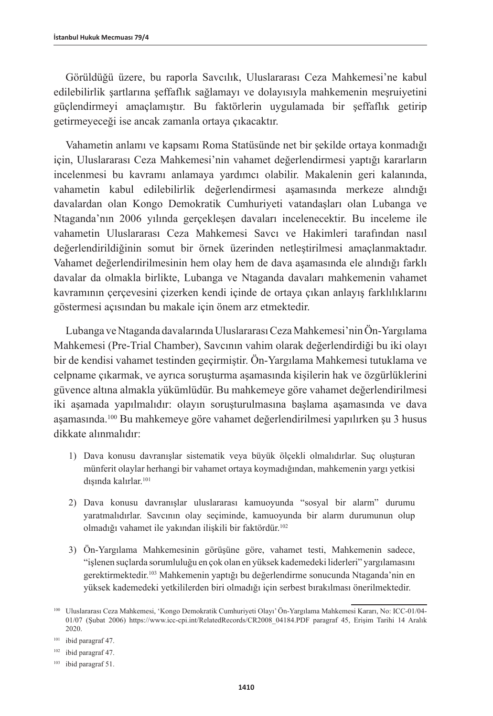Görüldüğü üzere, bu raporla Savcılık, Uluslararası Ceza Mahkemesi'ne kabul edilebilirlik şartlarına şeffaflık sağlamayı ve dolayısıyla mahkemenin meşruiyetini güçlendirmeyi amaçlamıştır. Bu faktörlerin uygulamada bir şeffaflık getirip getirmeyeceği ise ancak zamanla ortaya çıkacaktır.

Vahametin anlamı ve kapsamı Roma Statüsünde net bir şekilde ortaya konmadığı için, Uluslararası Ceza Mahkemesi'nin vahamet değerlendirmesi yaptığı kararların incelenmesi bu kavramı anlamaya yardımcı olabilir. Makalenin geri kalanında, vahametin kabul edilebilirlik değerlendirmesi aşamasında merkeze alındığı davalardan olan Kongo Demokratik Cumhuriyeti vatandaşları olan Lubanga ve Ntaganda'nın 2006 yılında gerçekleşen davaları incelenecektir. Bu inceleme ile vahametin Uluslararası Ceza Mahkemesi Savcı ve Hakimleri tarafından nasıl değerlendirildiğinin somut bir örnek üzerinden netleştirilmesi amaçlanmaktadır. Vahamet değerlendirilmesinin hem olay hem de dava aşamasında ele alındığı farklı davalar da olmakla birlikte, Lubanga ve Ntaganda davaları mahkemenin vahamet kavramının çerçevesini çizerken kendi içinde de ortaya çıkan anlayış farklılıklarını göstermesi açısından bu makale için önem arz etmektedir.

Lubanga ve Ntaganda davalarında Uluslararası Ceza Mahkemesi'nin Ön-Yargılama Mahkemesi (Pre-Trial Chamber), Savcının vahim olarak değerlendirdiği bu iki olayı bir de kendisi vahamet testinden geçirmiştir. Ön-Yargılama Mahkemesi tutuklama ve celpname çıkarmak, ve ayrıca soruşturma aşamasında kişilerin hak ve özgürlüklerini güvence altına almakla yükümlüdür. Bu mahkemeye göre vahamet değerlendirilmesi iki aşamada yapılmalıdır: olayın soruşturulmasına başlama aşamasında ve dava asamasında.<sup>100</sup> Bu mahkemeye göre vahamet değerlendirilmesi yapılırken su 3 husus dikkate alınmalıdır:

- 1) Dava konusu davranışlar sistematik veya büyük ölçekli olmalıdırlar. Suç oluşturan münferit olaylar herhangi bir vahamet ortaya koymadığından, mahkemenin yargı yetkisi dışında kalırlar.<sup>101</sup>
- 2) Dava konusu davranışlar uluslararası kamuoyunda "sosyal bir alarm" durumu yaratmalıdırlar. Savcının olay seçiminde, kamuoyunda bir alarm durumunun olup olmadığı vahamet ile yakından ilişkili bir faktördür.<sup>102</sup>
- 3) Ön-Yargılama Mahkemesinin görüşüne göre, vahamet testi, Mahkemenin sadece, "işlenen suçlarda sorumluluğu en çok olan en yüksek kademedeki liderleri" yargılamasını gerektirmektedir.103 Mahkemenin yaptığı bu değerlendirme sonucunda Ntaganda'nin en yüksek kademedeki yetkililerden biri olmadığı için serbest bırakılması önerilmektedir.

<sup>100</sup> Uluslararası Ceza Mahkemesi, 'Kongo Demokratik Cumhuriyeti Olayı' Ön-Yargılama Mahkemesi Kararı, No: ICC-01/04- 01/07 (Şubat 2006) [https://www.icc-cpi.int/RelatedRecords/CR2008\\_04184.PDF](https://www.icc-cpi.int/RelatedRecords/CR2008_04184.PDF) paragraf 45, Erişim Tarihi 14 Aralık 2020.

<sup>101</sup> ibid paragraf 47.

<sup>102</sup> ibid paragraf 47.

<sup>103</sup> ibid paragraf 51.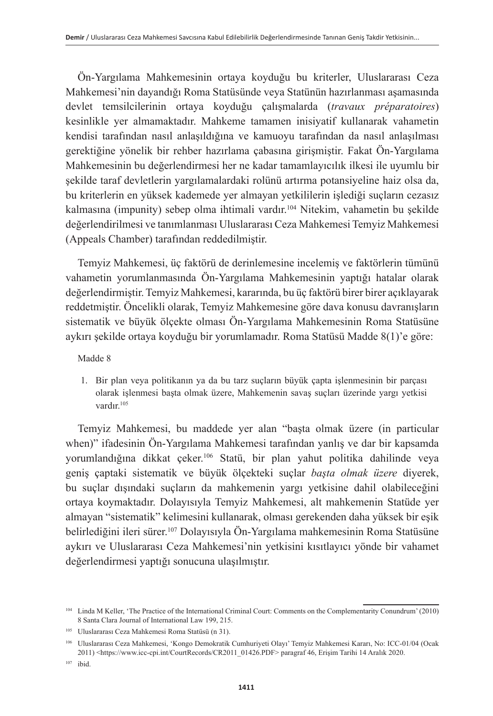Ön-Yargılama Mahkemesinin ortaya koyduğu bu kriterler, Uluslararası Ceza Mahkemesi'nin dayandığı Roma Statüsünde veya Statünün hazırlanması aşamasında devlet temsilcilerinin ortaya koyduğu çalışmalarda (*travaux préparatoires*) kesinlikle yer almamaktadır. Mahkeme tamamen inisiyatif kullanarak vahametin kendisi tarafından nasıl anlaşıldığına ve kamuoyu tarafından da nasıl anlaşılması gerektiğine yönelik bir rehber hazırlama çabasına girişmiştir. Fakat Ön-Yargılama Mahkemesinin bu değerlendirmesi her ne kadar tamamlayıcılık ilkesi ile uyumlu bir şekilde taraf devletlerin yargılamalardaki rolünü artırma potansiyeline haiz olsa da, bu kriterlerin en yüksek kademede yer almayan yetkililerin işlediği suçların cezasız kalmasına (impunity) sebep olma ihtimali vardır.104 Nitekim, vahametin bu şekilde değerlendirilmesi ve tanımlanması Uluslararası Ceza Mahkemesi Temyiz Mahkemesi (Appeals Chamber) tarafından reddedilmiştir.

Temyiz Mahkemesi, üç faktörü de derinlemesine incelemiş ve faktörlerin tümünü vahametin yorumlanmasında Ön-Yargılama Mahkemesinin yaptığı hatalar olarak değerlendirmiştir. Temyiz Mahkemesi, kararında, bu üç faktörü birer birer açıklayarak reddetmiştir. Öncelikli olarak, Temyiz Mahkemesine göre dava konusu davranışların sistematik ve büyük ölçekte olması Ön-Yargılama Mahkemesinin Roma Statüsüne aykırı şekilde ortaya koyduğu bir yorumlamadır. Roma Statüsü Madde 8(1)'e göre:

#### Madde 8

1. Bir plan veya politikanın ya da bu tarz suçların büyük çapta işlenmesinin bir parçası olarak işlenmesi başta olmak üzere, Mahkemenin savaş suçları üzerinde yargı yetkisi vardır.105

Temyiz Mahkemesi, bu maddede yer alan "başta olmak üzere (in particular when)" ifadesinin Ön-Yargılama Mahkemesi tarafından yanlış ve dar bir kapsamda yorumlandığına dikkat çeker.106 Statü, bir plan yahut politika dahilinde veya geniş çaptaki sistematik ve büyük ölçekteki suçlar *başta olmak üzere* diyerek, bu suçlar dışındaki suçların da mahkemenin yargı yetkisine dahil olabileceğini ortaya koymaktadır. Dolayısıyla Temyiz Mahkemesi, alt mahkemenin Statüde yer almayan "sistematik" kelimesini kullanarak, olması gerekenden daha yüksek bir eşik belirlediğini ileri sürer.107 Dolayısıyla Ön-Yargılama mahkemesinin Roma Statüsüne aykırı ve Uluslararası Ceza Mahkemesi'nin yetkisini kısıtlayıcı yönde bir vahamet değerlendirmesi yaptığı sonucuna ulaşılmıştır.

<sup>104</sup> Linda M Keller, 'The Practice of the International Criminal Court: Comments on the Complementarity Conundrum' (2010) 8 Santa Clara Journal of International Law 199, 215.

<sup>105</sup> Uluslararası Ceza Mahkemesi Roma Statüsü (n 31).

<sup>106</sup> Uluslararası Ceza Mahkemesi, 'Kongo Demokratik Cumhuriyeti Olayı' Temyiz Mahkemesi Kararı, No: ICC-01/04 (Ocak 2011) [<https://www.icc-cpi.int/CourtRecords/CR2011\\_01426.PDF](https://www.icc-cpi.int/CourtRecords/CR2011_01426.PDF)> paragraf 46, Erişim Tarihi 14 Aralık 2020.

<sup>107</sup> ibid.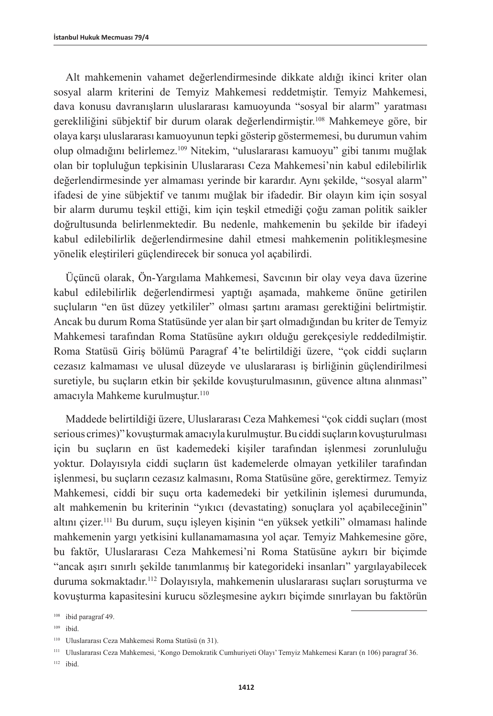Alt mahkemenin vahamet değerlendirmesinde dikkate aldığı ikinci kriter olan sosyal alarm kriterini de Temyiz Mahkemesi reddetmiştir. Temyiz Mahkemesi, dava konusu davranışların uluslararası kamuoyunda "sosyal bir alarm" yaratması gerekliliğini sübjektif bir durum olarak değerlendirmiştir.108 Mahkemeye göre, bir olaya karşı uluslararası kamuoyunun tepki gösterip göstermemesi, bu durumun vahim olup olmadığını belirlemez.109 Nitekim, "uluslararası kamuoyu" gibi tanımı muğlak olan bir topluluğun tepkisinin Uluslararası Ceza Mahkemesi'nin kabul edilebilirlik değerlendirmesinde yer almaması yerinde bir karardır. Aynı şekilde, "sosyal alarm" ifadesi de yine sübjektif ve tanımı muğlak bir ifadedir. Bir olayın kim için sosyal bir alarm durumu teşkil ettiği, kim için teşkil etmediği çoğu zaman politik saikler doğrultusunda belirlenmektedir. Bu nedenle, mahkemenin bu şekilde bir ifadeyi kabul edilebilirlik değerlendirmesine dahil etmesi mahkemenin politikleşmesine yönelik eleştirileri güçlendirecek bir sonuca yol açabilirdi.

Üçüncü olarak, Ön-Yargılama Mahkemesi, Savcının bir olay veya dava üzerine kabul edilebilirlik değerlendirmesi yaptığı aşamada, mahkeme önüne getirilen suçluların "en üst düzey yetkililer" olması şartını araması gerektiğini belirtmiştir. Ancak bu durum Roma Statüsünde yer alan bir şart olmadığından bu kriter de Temyiz Mahkemesi tarafından Roma Statüsüne aykırı olduğu gerekçesiyle reddedilmiştir. Roma Statüsü Giriş bölümü Paragraf 4'te belirtildiği üzere, "çok ciddi suçların cezasız kalmaması ve ulusal düzeyde ve uluslararası iş birliğinin güçlendirilmesi suretiyle, bu suçların etkin bir şekilde kovuşturulmasının, güvence altına alınması" amacıyla Mahkeme kurulmuştur.<sup>110</sup>

Maddede belirtildiği üzere, Uluslararası Ceza Mahkemesi "çok ciddi suçları (most serious crimes)" kovuşturmak amacıyla kurulmuştur. Bu ciddi suçların kovuşturulması için bu suçların en üst kademedeki kişiler tarafından işlenmesi zorunluluğu yoktur. Dolayısıyla ciddi suçların üst kademelerde olmayan yetkililer tarafından işlenmesi, bu suçların cezasız kalmasını, Roma Statüsüne göre, gerektirmez. Temyiz Mahkemesi, ciddi bir suçu orta kademedeki bir yetkilinin işlemesi durumunda, alt mahkemenin bu kriterinin "yıkıcı (devastating) sonuçlara yol açabileceğinin" altını çizer.111 Bu durum, suçu işleyen kişinin "en yüksek yetkili" olmaması halinde mahkemenin yargı yetkisini kullanamamasına yol açar. Temyiz Mahkemesine göre, bu faktör, Uluslararası Ceza Mahkemesi'ni Roma Statüsüne aykırı bir biçimde "ancak aşırı sınırlı şekilde tanımlanmış bir kategorideki insanları" yargılayabilecek duruma sokmaktadır.<sup>112</sup> Dolayısıyla, mahkemenin uluslararası suçları soruşturma ve kovuşturma kapasitesini kurucu sözleşmesine aykırı biçimde sınırlayan bu faktörün

<sup>112</sup> ibid.

<sup>108</sup> ibid paragraf 49.

<sup>109</sup> ibid.

<sup>110</sup> Uluslararası Ceza Mahkemesi Roma Statüsü (n 31).

<sup>111</sup> Uluslararası Ceza Mahkemesi, 'Kongo Demokratik Cumhuriyeti Olayı' Temyiz Mahkemesi Kararı (n 106) paragraf 36.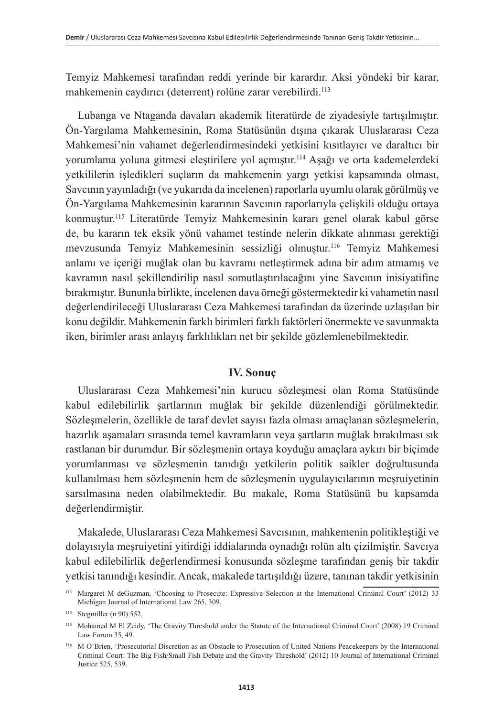Temyiz Mahkemesi tarafından reddi yerinde bir karardır. Aksi yöndeki bir karar, mahkemenin caydırıcı (deterrent) rolüne zarar verebilirdi.113

Lubanga ve Ntaganda davaları akademik literatürde de ziyadesiyle tartışılmıştır. Ön-Yargılama Mahkemesinin, Roma Statüsünün dışına çıkarak Uluslararası Ceza Mahkemesi'nin vahamet değerlendirmesindeki yetkisini kısıtlayıcı ve daraltıcı bir yorumlama yoluna gitmesi eleştirilere yol açmıştır.114 Aşağı ve orta kademelerdeki yetkililerin işledikleri suçların da mahkemenin yargı yetkisi kapsamında olması, Savcının yayınladığı (ve yukarıda da incelenen) raporlarla uyumlu olarak görülmüş ve Ön-Yargılama Mahkemesinin kararının Savcının raporlarıyla çelişkili olduğu ortaya konmuştur.115 Literatürde Temyiz Mahkemesinin kararı genel olarak kabul görse de, bu kararın tek eksik yönü vahamet testinde nelerin dikkate alınması gerektiği mevzusunda Temyiz Mahkemesinin sessizliği olmuştur.116 Temyiz Mahkemesi anlamı ve içeriği muğlak olan bu kavramı netleştirmek adına bir adım atmamış ve kavramın nasıl şekillendirilip nasıl somutlaştırılacağını yine Savcının inisiyatifine bırakmıştır. Bununla birlikte, incelenen dava örneği göstermektedir ki vahametin nasıl değerlendirileceği Uluslararası Ceza Mahkemesi tarafından da üzerinde uzlaşılan bir konu değildir. Mahkemenin farklı birimleri farklı faktörleri önermekte ve savunmakta iken, birimler arası anlayış farklılıkları net bir şekilde gözlemlenebilmektedir.

#### **IV. Sonuç**

Uluslararası Ceza Mahkemesi'nin kurucu sözleşmesi olan Roma Statüsünde kabul edilebilirlik şartlarının muğlak bir şekilde düzenlendiği görülmektedir. Sözleşmelerin, özellikle de taraf devlet sayısı fazla olması amaçlanan sözleşmelerin, hazırlık aşamaları sırasında temel kavramların veya şartların muğlak bırakılması sık rastlanan bir durumdur. Bir sözleşmenin ortaya koyduğu amaçlara aykırı bir biçimde yorumlanması ve sözleşmenin tanıdığı yetkilerin politik saikler doğrultusunda kullanılması hem sözleşmenin hem de sözleşmenin uygulayıcılarının meşruiyetinin sarsılmasına neden olabilmektedir. Bu makale, Roma Statüsünü bu kapsamda değerlendirmiştir.

Makalede, Uluslararası Ceza Mahkemesi Savcısının, mahkemenin politikleştiği ve dolayısıyla meşruiyetini yitirdiği iddialarında oynadığı rolün altı çizilmiştir. Savcıya kabul edilebilirlik değerlendirmesi konusunda sözleşme tarafından geniş bir takdir yetkisi tanındığı kesindir. Ancak, makalede tartışıldığı üzere, tanınan takdir yetkisinin

<sup>113</sup> Margaret M deGuzman, 'Choosing to Prosecute: Expressive Selection at the International Criminal Court' (2012) 33 Michigan Journal of International Law 265, 309.

<sup>114</sup> Stegmiller (n 90) 552.

<sup>115</sup> Mohamed M El Zeidy, 'The Gravity Threshold under the Statute of the International Criminal Court' (2008) 19 Criminal Law Forum 35, 49.

<sup>116</sup> M O'Brien, 'Prosecutorial Discretion as an Obstacle to Prosecution of United Nations Peacekeepers by the International Criminal Court: The Big Fish/Small Fish Debate and the Gravity Threshold' (2012) 10 Journal of International Criminal Justice 525, 539.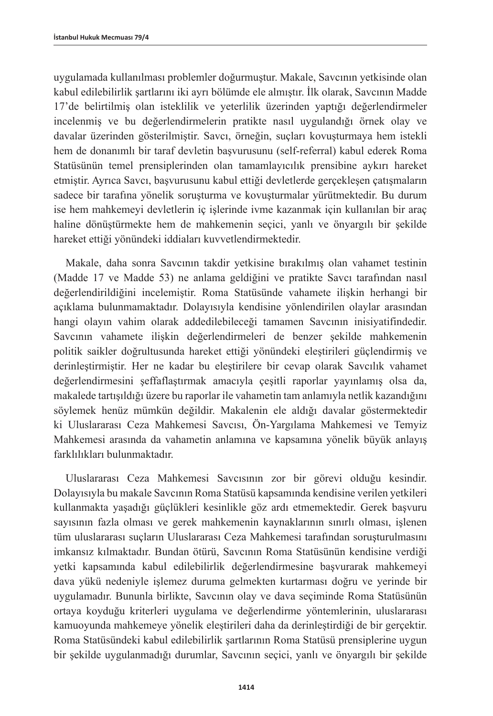uygulamada kullanılması problemler doğurmuştur. Makale, Savcının yetkisinde olan kabul edilebilirlik şartlarını iki ayrı bölümde ele almıştır. İlk olarak, Savcının Madde 17'de belirtilmiş olan isteklilik ve yeterlilik üzerinden yaptığı değerlendirmeler incelenmiş ve bu değerlendirmelerin pratikte nasıl uygulandığı örnek olay ve davalar üzerinden gösterilmiştir. Savcı, örneğin, suçları kovuşturmaya hem istekli hem de donanımlı bir taraf devletin başvurusunu (self-referral) kabul ederek Roma Statüsünün temel prensiplerinden olan tamamlayıcılık prensibine aykırı hareket etmiştir. Ayrıca Savcı, başvurusunu kabul ettiği devletlerde gerçekleşen çatışmaların sadece bir tarafına yönelik soruşturma ve kovuşturmalar yürütmektedir. Bu durum ise hem mahkemeyi devletlerin iç işlerinde ivme kazanmak için kullanılan bir araç haline dönüştürmekte hem de mahkemenin seçici, yanlı ve önyargılı bir şekilde hareket ettiği yönündeki iddiaları kuvvetlendirmektedir.

Makale, daha sonra Savcının takdir yetkisine bırakılmış olan vahamet testinin (Madde 17 ve Madde 53) ne anlama geldiğini ve pratikte Savcı tarafından nasıl değerlendirildiğini incelemiştir. Roma Statüsünde vahamete ilişkin herhangi bir açıklama bulunmamaktadır. Dolayısıyla kendisine yönlendirilen olaylar arasından hangi olayın vahim olarak addedilebileceği tamamen Savcının inisiyatifindedir. Savcının vahamete ilişkin değerlendirmeleri de benzer şekilde mahkemenin politik saikler doğrultusunda hareket ettiği yönündeki eleştirileri güçlendirmiş ve derinleştirmiştir. Her ne kadar bu eleştirilere bir cevap olarak Savcılık vahamet değerlendirmesini şeffaflaştırmak amacıyla çeşitli raporlar yayınlamış olsa da, makalede tartışıldığı üzere bu raporlar ile vahametin tam anlamıyla netlik kazandığını söylemek henüz mümkün değildir. Makalenin ele aldığı davalar göstermektedir ki Uluslararası Ceza Mahkemesi Savcısı, Ön-Yargılama Mahkemesi ve Temyiz Mahkemesi arasında da vahametin anlamına ve kapsamına yönelik büyük anlayış farklılıkları bulunmaktadır.

Uluslararası Ceza Mahkemesi Savcısının zor bir görevi olduğu kesindir. Dolayısıyla bu makale Savcının Roma Statüsü kapsamında kendisine verilen yetkileri kullanmakta yaşadığı güçlükleri kesinlikle göz ardı etmemektedir. Gerek başvuru sayısının fazla olması ve gerek mahkemenin kaynaklarının sınırlı olması, işlenen tüm uluslararası suçların Uluslararası Ceza Mahkemesi tarafından soruşturulmasını imkansız kılmaktadır. Bundan ötürü, Savcının Roma Statüsünün kendisine verdiği yetki kapsamında kabul edilebilirlik değerlendirmesine başvurarak mahkemeyi dava yükü nedeniyle işlemez duruma gelmekten kurtarması doğru ve yerinde bir uygulamadır. Bununla birlikte, Savcının olay ve dava seçiminde Roma Statüsünün ortaya koyduğu kriterleri uygulama ve değerlendirme yöntemlerinin, uluslararası kamuoyunda mahkemeye yönelik eleştirileri daha da derinleştirdiği de bir gerçektir. Roma Statüsündeki kabul edilebilirlik şartlarının Roma Statüsü prensiplerine uygun bir şekilde uygulanmadığı durumlar, Savcının seçici, yanlı ve önyargılı bir şekilde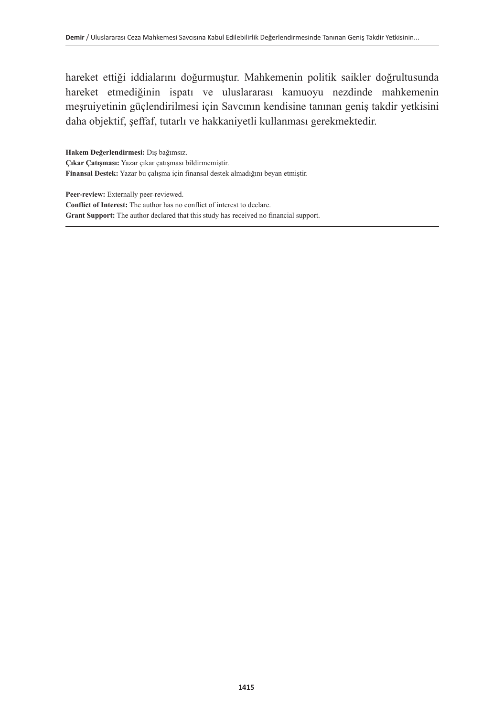hareket ettiği iddialarını doğurmuştur. Mahkemenin politik saikler doğrultusunda hareket etmediğinin ispatı ve uluslararası kamuoyu nezdinde mahkemenin meşruiyetinin güçlendirilmesi için Savcının kendisine tanınan geniş takdir yetkisini daha objektif, şeffaf, tutarlı ve hakkaniyetli kullanması gerekmektedir.

**Hakem Değerlendirmesi:** Dış bağımsız. **Çıkar Çatışması:** Yazar çıkar çatışması bildirmemiştir. **Finansal Destek:** Yazar bu çalışma için finansal destek almadığını beyan etmiştir.

**Peer-review:** Externally peer-reviewed. **Conflict of Interest:** The author has no conflict of interest to declare. **Grant Support:** The author declared that this study has received no financial support.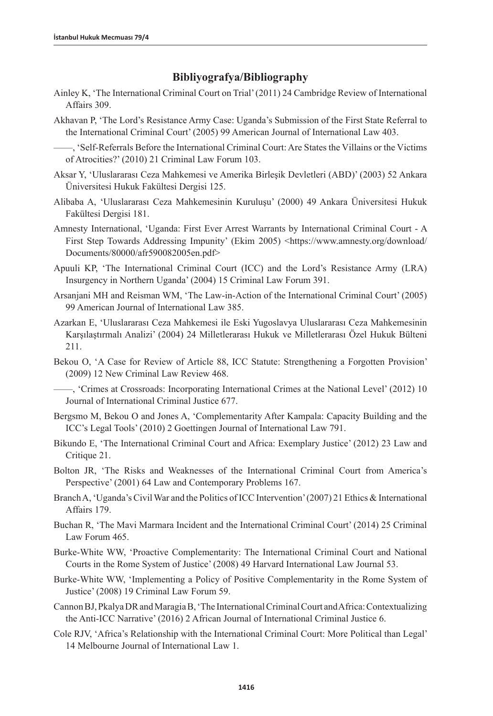#### **Bibliyografya/Bibliography**

- Ainley K, 'The International Criminal Court on Trial' (2011) 24 Cambridge Review of International Affairs 309.
- Akhavan P, 'The Lord's Resistance Army Case: Uganda's Submission of the First State Referral to the International Criminal Court' (2005) 99 American Journal of International Law 403.

——, 'Self-Referrals Before the International Criminal Court: Are States the Villains or the Victims of Atrocities?' (2010) 21 Criminal Law Forum 103.

- Aksar Y, 'Uluslararası Ceza Mahkemesi ve Amerika Birleşik Devletleri (ABD)' (2003) 52 Ankara Üniversitesi Hukuk Fakültesi Dergisi 125.
- Alibaba A, 'Uluslararası Ceza Mahkemesinin Kuruluşu' (2000) 49 Ankara Üniversitesi Hukuk Fakültesi Dergisi 181.
- Amnesty International, 'Uganda: First Ever Arrest Warrants by International Criminal Court A First Step Towards Addressing Impunity' (Ekim 2005) <https://www.amnesty.org/download/ Documents/80000/afr590082005en.pdf>
- Apuuli KP, 'The International Criminal Court (ICC) and the Lord's Resistance Army (LRA) Insurgency in Northern Uganda' (2004) 15 Criminal Law Forum 391.
- Arsanjani MH and Reisman WM, 'The Law-in-Action of the International Criminal Court' (2005) 99 American Journal of International Law 385.
- Azarkan E, 'Uluslararası Ceza Mahkemesi ile Eski Yugoslavya Uluslararası Ceza Mahkemesinin Karşılaştırmalı Analizi' (2004) 24 Milletlerarası Hukuk ve Milletlerarası Özel Hukuk Bülteni 211.
- Bekou O, 'A Case for Review of Article 88, ICC Statute: Strengthening a Forgotten Provision' (2009) 12 New Criminal Law Review 468.
- ——, 'Crimes at Crossroads: Incorporating International Crimes at the National Level' (2012) 10 Journal of International Criminal Justice 677.
- Bergsmo M, Bekou O and Jones A, 'Complementarity After Kampala: Capacity Building and the ICC's Legal Tools' (2010) 2 Goettingen Journal of International Law 791.
- Bikundo E, 'The International Criminal Court and Africa: Exemplary Justice' (2012) 23 Law and Critique 21.
- Bolton JR, 'The Risks and Weaknesses of the International Criminal Court from America's Perspective' (2001) 64 Law and Contemporary Problems 167.
- Branch A, 'Uganda's Civil War and the Politics of ICC Intervention' (2007) 21 Ethics & International Affairs 179.
- Buchan R, 'The Mavi Marmara Incident and the International Criminal Court' (2014) 25 Criminal Law Forum 465.
- Burke-White WW, 'Proactive Complementarity: The International Criminal Court and National Courts in the Rome System of Justice' (2008) 49 Harvard International Law Journal 53.
- Burke-White WW, 'Implementing a Policy of Positive Complementarity in the Rome System of Justice' (2008) 19 Criminal Law Forum 59.
- Cannon BJ, Pkalya DR and Maragia B, 'The International Criminal Court and Africa: Contextualizing the Anti-ICC Narrative' (2016) 2 African Journal of International Criminal Justice 6.
- Cole RJV, 'Africa's Relationship with the International Criminal Court: More Political than Legal' 14 Melbourne Journal of International Law 1.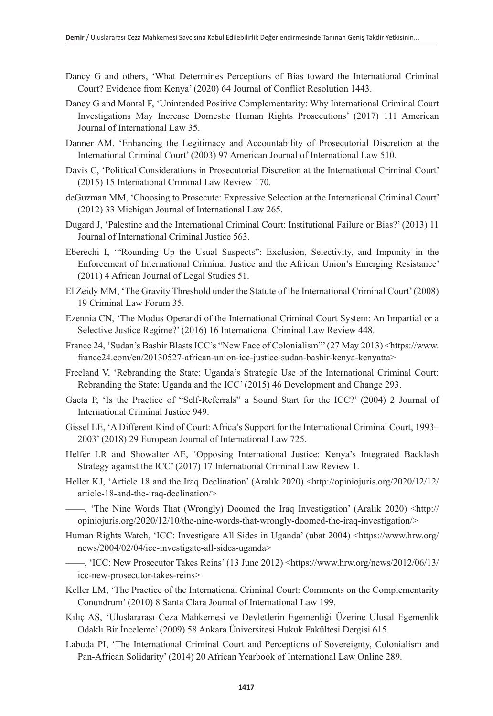- Dancy G and others, 'What Determines Perceptions of Bias toward the International Criminal Court? Evidence from Kenya' (2020) 64 Journal of Conflict Resolution 1443.
- Dancy G and Montal F, 'Unintended Positive Complementarity: Why International Criminal Court Investigations May Increase Domestic Human Rights Prosecutions' (2017) 111 American Journal of International Law 35.
- Danner AM, 'Enhancing the Legitimacy and Accountability of Prosecutorial Discretion at the International Criminal Court' (2003) 97 American Journal of International Law 510.
- Davis C, 'Political Considerations in Prosecutorial Discretion at the International Criminal Court' (2015) 15 International Criminal Law Review 170.
- deGuzman MM, 'Choosing to Prosecute: Expressive Selection at the International Criminal Court' (2012) 33 Michigan Journal of International Law 265.
- Dugard J, 'Palestine and the International Criminal Court: Institutional Failure or Bias?' (2013) 11 Journal of International Criminal Justice 563.
- Eberechi I, '"Rounding Up the Usual Suspects": Exclusion, Selectivity, and Impunity in the Enforcement of International Criminal Justice and the African Union's Emerging Resistance' (2011) 4 African Journal of Legal Studies 51.
- El Zeidy MM, 'The Gravity Threshold under the Statute of the International Criminal Court' (2008) 19 Criminal Law Forum 35.
- Ezennia CN, 'The Modus Operandi of the International Criminal Court System: An Impartial or a Selective Justice Regime?' (2016) 16 International Criminal Law Review 448.
- France 24, 'Sudan's Bashir Blasts ICC's "New Face of Colonialism"' (27 May 2013) <https://www. france24.com/en/20130527-african-union-icc-justice-sudan-bashir-kenya-kenyatta>
- Freeland V, 'Rebranding the State: Uganda's Strategic Use of the International Criminal Court: Rebranding the State: Uganda and the ICC' (2015) 46 Development and Change 293.
- Gaeta P, 'Is the Practice of "Self-Referrals" a Sound Start for the ICC?' (2004) 2 Journal of International Criminal Justice 949.
- Gissel LE, 'A Different Kind of Court: Africa's Support for the International Criminal Court, 1993– 2003' (2018) 29 European Journal of International Law 725.
- Helfer LR and Showalter AE, 'Opposing International Justice: Kenya's Integrated Backlash Strategy against the ICC' (2017) 17 International Criminal Law Review 1.
- Heller KJ, 'Article 18 and the Iraq Declination' (Aralık 2020) <http://opiniojuris.org/2020/12/12/ article-18-and-the-iraq-declination/>
- ——, 'The Nine Words That (Wrongly) Doomed the Iraq Investigation' (Aralık 2020) <http:// opiniojuris.org/2020/12/10/the-nine-words-that-wrongly-doomed-the-iraq-investigation/>
- Human Rights Watch, 'ICC: Investigate All Sides in Uganda' (ubat 2004) <https://www.hrw.org/ news/2004/02/04/icc-investigate-all-sides-uganda>
	- ——, 'ICC: New Prosecutor Takes Reins' (13 June 2012) <https://www.hrw.org/news/2012/06/13/ icc-new-prosecutor-takes-reins>
- Keller LM, 'The Practice of the International Criminal Court: Comments on the Complementarity Conundrum' (2010) 8 Santa Clara Journal of International Law 199.
- Kılıç AS, 'Uluslararası Ceza Mahkemesi ve Devletlerin Egemenliği Üzerine Ulusal Egemenlik Odaklı Bir İnceleme' (2009) 58 Ankara Üniversitesi Hukuk Fakültesi Dergisi 615.
- Labuda PI, 'The International Criminal Court and Perceptions of Sovereignty, Colonialism and Pan-African Solidarity' (2014) 20 African Yearbook of International Law Online 289.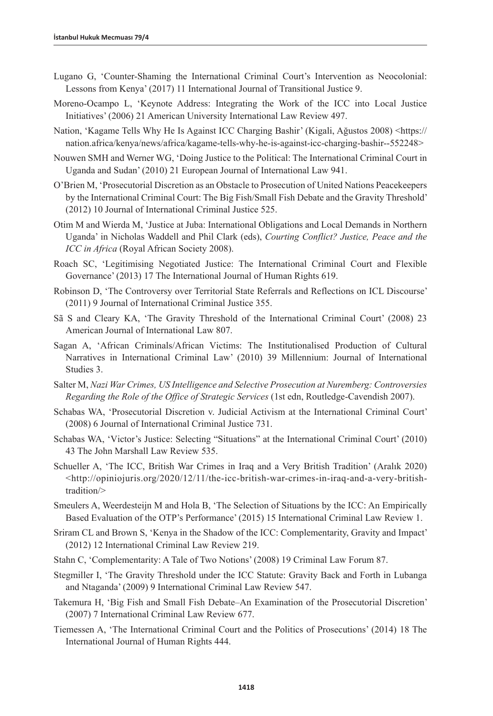- Lugano G, 'Counter-Shaming the International Criminal Court's Intervention as Neocolonial: Lessons from Kenya' (2017) 11 International Journal of Transitional Justice 9.
- Moreno-Ocampo L, 'Keynote Address: Integrating the Work of the ICC into Local Justice Initiatives' (2006) 21 American University International Law Review 497.
- Nation, 'Kagame Tells Why He Is Against ICC Charging Bashir' (Kigali, Ağustos 2008) <https:// nation.africa/kenya/news/africa/kagame-tells-why-he-is-against-icc-charging-bashir--552248>
- Nouwen SMH and Werner WG, 'Doing Justice to the Political: The International Criminal Court in Uganda and Sudan' (2010) 21 European Journal of International Law 941.
- O'Brien M, 'Prosecutorial Discretion as an Obstacle to Prosecution of United Nations Peacekeepers by the International Criminal Court: The Big Fish/Small Fish Debate and the Gravity Threshold' (2012) 10 Journal of International Criminal Justice 525.
- Otim M and Wierda M, 'Justice at Juba: International Obligations and Local Demands in Northern Uganda' in Nicholas Waddell and Phil Clark (eds), *Courting Conflict? Justice, Peace and the ICC in Africa* (Royal African Society 2008).
- Roach SC, 'Legitimising Negotiated Justice: The International Criminal Court and Flexible Governance' (2013) 17 The International Journal of Human Rights 619.
- Robinson D, 'The Controversy over Territorial State Referrals and Reflections on ICL Discourse' (2011) 9 Journal of International Criminal Justice 355.
- Sã S and Cleary KA, 'The Gravity Threshold of the International Criminal Court' (2008) 23 American Journal of International Law 807.
- Sagan A, 'African Criminals/African Victims: The Institutionalised Production of Cultural Narratives in International Criminal Law' (2010) 39 Millennium: Journal of International Studies 3.
- Salter M, *Nazi War Crimes, US Intelligence and Selective Prosecution at Nuremberg: Controversies Regarding the Role of the Office of Strategic Services* (1st edn, Routledge-Cavendish 2007).
- Schabas WA, 'Prosecutorial Discretion v. Judicial Activism at the International Criminal Court' (2008) 6 Journal of International Criminal Justice 731.
- Schabas WA, 'Victor's Justice: Selecting "Situations" at the International Criminal Court' (2010) 43 The John Marshall Law Review 535.
- Schueller A, 'The ICC, British War Crimes in Iraq and a Very British Tradition' (Aralık 2020) <http://opiniojuris.org/2020/12/11/the-icc-british-war-crimes-in-iraq-and-a-very-britishtradition/>
- Smeulers A, Weerdesteijn M and Hola B, 'The Selection of Situations by the ICC: An Empirically Based Evaluation of the OTP's Performance' (2015) 15 International Criminal Law Review 1.
- Sriram CL and Brown S, 'Kenya in the Shadow of the ICC: Complementarity, Gravity and Impact' (2012) 12 International Criminal Law Review 219.
- Stahn C, 'Complementarity: A Tale of Two Notions' (2008) 19 Criminal Law Forum 87.
- Stegmiller I, 'The Gravity Threshold under the ICC Statute: Gravity Back and Forth in Lubanga and Ntaganda' (2009) 9 International Criminal Law Review 547.
- Takemura H, 'Big Fish and Small Fish Debate–An Examination of the Prosecutorial Discretion' (2007) 7 International Criminal Law Review 677.
- Tiemessen A, 'The International Criminal Court and the Politics of Prosecutions' (2014) 18 The International Journal of Human Rights 444.